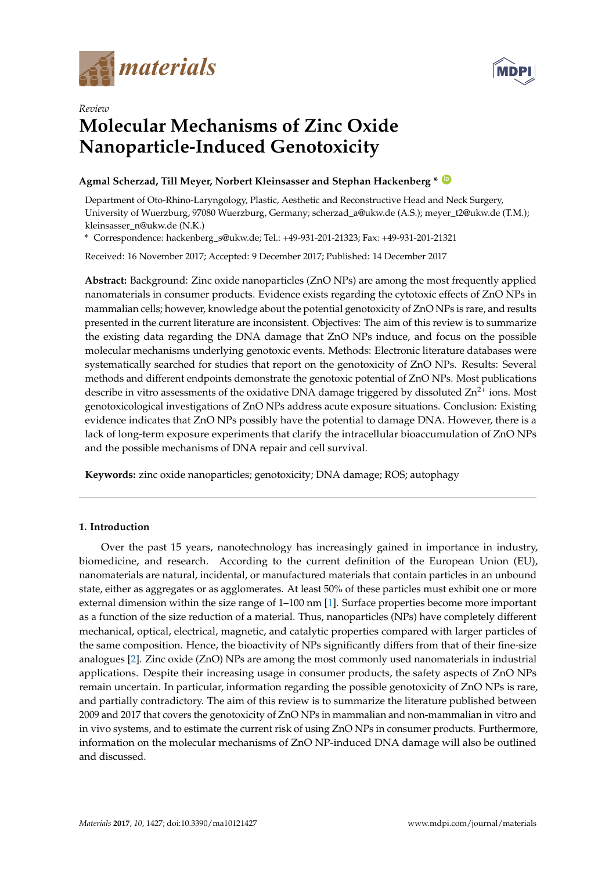



# *Review* **Molecular Mechanisms of Zinc Oxide Nanoparticle-Induced Genotoxicity**

## **Agmal Scherzad, Till Meyer, Norbert Kleinsasser and Stephan Hackenberg \* [ID](https://orcid.org/0000-0001-6995-1849)**

Department of Oto-Rhino-Laryngology, Plastic, Aesthetic and Reconstructive Head and Neck Surgery, University of Wuerzburg, 97080 Wuerzburg, Germany; scherzad\_a@ukw.de (A.S.); meyer\_t2@ukw.de (T.M.); kleinsasser\_n@ukw.de (N.K.)

**\*** Correspondence: hackenberg\_s@ukw.de; Tel.: +49-931-201-21323; Fax: +49-931-201-21321

Received: 16 November 2017; Accepted: 9 December 2017; Published: 14 December 2017

**Abstract:** Background: Zinc oxide nanoparticles (ZnO NPs) are among the most frequently applied nanomaterials in consumer products. Evidence exists regarding the cytotoxic effects of ZnO NPs in mammalian cells; however, knowledge about the potential genotoxicity of ZnO NPs is rare, and results presented in the current literature are inconsistent. Objectives: The aim of this review is to summarize the existing data regarding the DNA damage that ZnO NPs induce, and focus on the possible molecular mechanisms underlying genotoxic events. Methods: Electronic literature databases were systematically searched for studies that report on the genotoxicity of ZnO NPs. Results: Several methods and different endpoints demonstrate the genotoxic potential of ZnO NPs. Most publications describe in vitro assessments of the oxidative DNA damage triggered by dissoluted  $\text{Zn}^{2+}$  ions. Most genotoxicological investigations of ZnO NPs address acute exposure situations. Conclusion: Existing evidence indicates that ZnO NPs possibly have the potential to damage DNA. However, there is a lack of long-term exposure experiments that clarify the intracellular bioaccumulation of ZnO NPs and the possible mechanisms of DNA repair and cell survival.

**Keywords:** zinc oxide nanoparticles; genotoxicity; DNA damage; ROS; autophagy

## **1. Introduction**

Over the past 15 years, nanotechnology has increasingly gained in importance in industry, biomedicine, and research. According to the current definition of the European Union (EU), nanomaterials are natural, incidental, or manufactured materials that contain particles in an unbound state, either as aggregates or as agglomerates. At least 50% of these particles must exhibit one or more external dimension within the size range of 1–100 nm [\[1\]](#page-13-0). Surface properties become more important as a function of the size reduction of a material. Thus, nanoparticles (NPs) have completely different mechanical, optical, electrical, magnetic, and catalytic properties compared with larger particles of the same composition. Hence, the bioactivity of NPs significantly differs from that of their fine-size analogues [\[2\]](#page-13-1). Zinc oxide (ZnO) NPs are among the most commonly used nanomaterials in industrial applications. Despite their increasing usage in consumer products, the safety aspects of ZnO NPs remain uncertain. In particular, information regarding the possible genotoxicity of ZnO NPs is rare, and partially contradictory. The aim of this review is to summarize the literature published between 2009 and 2017 that covers the genotoxicity of ZnO NPs in mammalian and non-mammalian in vitro and in vivo systems, and to estimate the current risk of using ZnO NPs in consumer products. Furthermore, information on the molecular mechanisms of ZnO NP-induced DNA damage will also be outlined and discussed.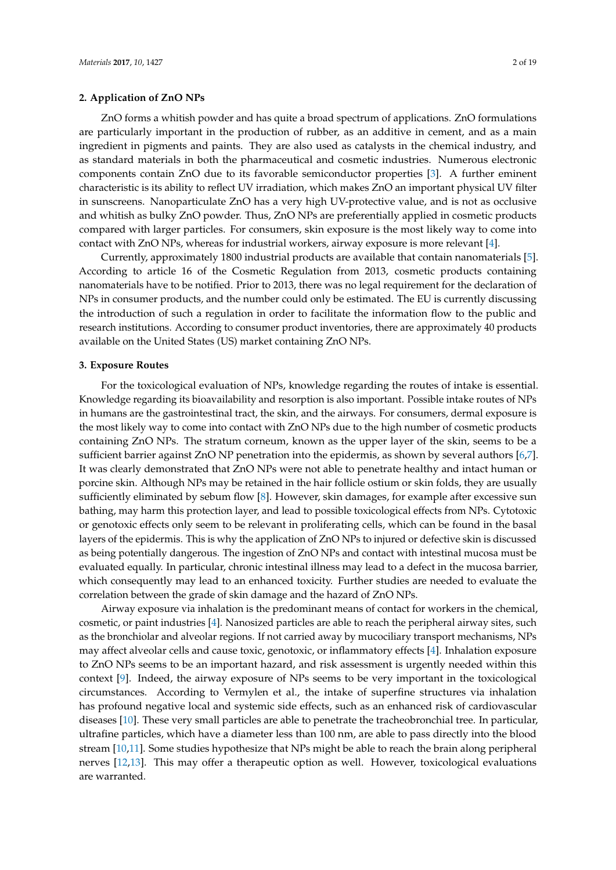#### **2. Application of ZnO NPs**

ZnO forms a whitish powder and has quite a broad spectrum of applications. ZnO formulations are particularly important in the production of rubber, as an additive in cement, and as a main ingredient in pigments and paints. They are also used as catalysts in the chemical industry, and as standard materials in both the pharmaceutical and cosmetic industries. Numerous electronic components contain ZnO due to its favorable semiconductor properties [\[3\]](#page-13-2). A further eminent characteristic is its ability to reflect UV irradiation, which makes ZnO an important physical UV filter in sunscreens. Nanoparticulate ZnO has a very high UV-protective value, and is not as occlusive and whitish as bulky ZnO powder. Thus, ZnO NPs are preferentially applied in cosmetic products compared with larger particles. For consumers, skin exposure is the most likely way to come into contact with ZnO NPs, whereas for industrial workers, airway exposure is more relevant [\[4\]](#page-13-3).

Currently, approximately 1800 industrial products are available that contain nanomaterials [\[5\]](#page-13-4). According to article 16 of the Cosmetic Regulation from 2013, cosmetic products containing nanomaterials have to be notified. Prior to 2013, there was no legal requirement for the declaration of NPs in consumer products, and the number could only be estimated. The EU is currently discussing the introduction of such a regulation in order to facilitate the information flow to the public and research institutions. According to consumer product inventories, there are approximately 40 products available on the United States (US) market containing ZnO NPs.

#### **3. Exposure Routes**

For the toxicological evaluation of NPs, knowledge regarding the routes of intake is essential. Knowledge regarding its bioavailability and resorption is also important. Possible intake routes of NPs in humans are the gastrointestinal tract, the skin, and the airways. For consumers, dermal exposure is the most likely way to come into contact with ZnO NPs due to the high number of cosmetic products containing ZnO NPs. The stratum corneum, known as the upper layer of the skin, seems to be a sufficient barrier against ZnO NP penetration into the epidermis, as shown by several authors [\[6,](#page-13-5)[7\]](#page-13-6). It was clearly demonstrated that ZnO NPs were not able to penetrate healthy and intact human or porcine skin. Although NPs may be retained in the hair follicle ostium or skin folds, they are usually sufficiently eliminated by sebum flow [\[8\]](#page-13-7). However, skin damages, for example after excessive sun bathing, may harm this protection layer, and lead to possible toxicological effects from NPs. Cytotoxic or genotoxic effects only seem to be relevant in proliferating cells, which can be found in the basal layers of the epidermis. This is why the application of ZnO NPs to injured or defective skin is discussed as being potentially dangerous. The ingestion of ZnO NPs and contact with intestinal mucosa must be evaluated equally. In particular, chronic intestinal illness may lead to a defect in the mucosa barrier, which consequently may lead to an enhanced toxicity. Further studies are needed to evaluate the correlation between the grade of skin damage and the hazard of ZnO NPs.

Airway exposure via inhalation is the predominant means of contact for workers in the chemical, cosmetic, or paint industries [\[4\]](#page-13-3). Nanosized particles are able to reach the peripheral airway sites, such as the bronchiolar and alveolar regions. If not carried away by mucociliary transport mechanisms, NPs may affect alveolar cells and cause toxic, genotoxic, or inflammatory effects [\[4\]](#page-13-3). Inhalation exposure to ZnO NPs seems to be an important hazard, and risk assessment is urgently needed within this context [\[9\]](#page-13-8). Indeed, the airway exposure of NPs seems to be very important in the toxicological circumstances. According to Vermylen et al., the intake of superfine structures via inhalation has profound negative local and systemic side effects, such as an enhanced risk of cardiovascular diseases [\[10\]](#page-13-9). These very small particles are able to penetrate the tracheobronchial tree. In particular, ultrafine particles, which have a diameter less than 100 nm, are able to pass directly into the blood stream [\[10](#page-13-9)[,11\]](#page-13-10). Some studies hypothesize that NPs might be able to reach the brain along peripheral nerves [\[12](#page-13-11)[,13\]](#page-13-12). This may offer a therapeutic option as well. However, toxicological evaluations are warranted.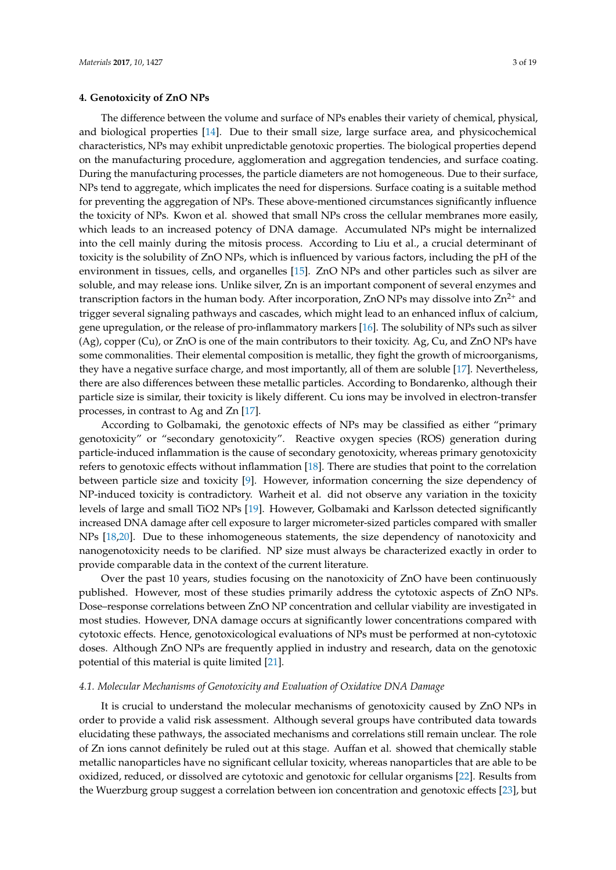The difference between the volume and surface of NPs enables their variety of chemical, physical, and biological properties [\[14\]](#page-13-13). Due to their small size, large surface area, and physicochemical characteristics, NPs may exhibit unpredictable genotoxic properties. The biological properties depend on the manufacturing procedure, agglomeration and aggregation tendencies, and surface coating. During the manufacturing processes, the particle diameters are not homogeneous. Due to their surface, NPs tend to aggregate, which implicates the need for dispersions. Surface coating is a suitable method for preventing the aggregation of NPs. These above-mentioned circumstances significantly influence the toxicity of NPs. Kwon et al. showed that small NPs cross the cellular membranes more easily, which leads to an increased potency of DNA damage. Accumulated NPs might be internalized into the cell mainly during the mitosis process. According to Liu et al., a crucial determinant of toxicity is the solubility of ZnO NPs, which is influenced by various factors, including the pH of the environment in tissues, cells, and organelles [\[15\]](#page-13-14). ZnO NPs and other particles such as silver are soluble, and may release ions. Unlike silver, Zn is an important component of several enzymes and transcription factors in the human body. After incorporation, ZnO NPs may dissolve into  $\text{Zn}^{2+}$  and trigger several signaling pathways and cascades, which might lead to an enhanced influx of calcium, gene upregulation, or the release of pro-inflammatory markers [\[16\]](#page-13-15). The solubility of NPs such as silver (Ag), copper (Cu), or ZnO is one of the main contributors to their toxicity. Ag, Cu, and ZnO NPs have some commonalities. Their elemental composition is metallic, they fight the growth of microorganisms, they have a negative surface charge, and most importantly, all of them are soluble [\[17\]](#page-13-16). Nevertheless, there are also differences between these metallic particles. According to Bondarenko, although their particle size is similar, their toxicity is likely different. Cu ions may be involved in electron-transfer processes, in contrast to Ag and Zn [\[17\]](#page-13-16).

According to Golbamaki, the genotoxic effects of NPs may be classified as either "primary genotoxicity" or "secondary genotoxicity". Reactive oxygen species (ROS) generation during particle-induced inflammation is the cause of secondary genotoxicity, whereas primary genotoxicity refers to genotoxic effects without inflammation [\[18\]](#page-13-17). There are studies that point to the correlation between particle size and toxicity [\[9\]](#page-13-8). However, information concerning the size dependency of NP-induced toxicity is contradictory. Warheit et al. did not observe any variation in the toxicity levels of large and small TiO2 NPs [\[19\]](#page-13-18). However, Golbamaki and Karlsson detected significantly increased DNA damage after cell exposure to larger micrometer-sized particles compared with smaller NPs [\[18,](#page-13-17)[20\]](#page-14-0). Due to these inhomogeneous statements, the size dependency of nanotoxicity and nanogenotoxicity needs to be clarified. NP size must always be characterized exactly in order to provide comparable data in the context of the current literature.

Over the past 10 years, studies focusing on the nanotoxicity of ZnO have been continuously published. However, most of these studies primarily address the cytotoxic aspects of ZnO NPs. Dose–response correlations between ZnO NP concentration and cellular viability are investigated in most studies. However, DNA damage occurs at significantly lower concentrations compared with cytotoxic effects. Hence, genotoxicological evaluations of NPs must be performed at non-cytotoxic doses. Although ZnO NPs are frequently applied in industry and research, data on the genotoxic potential of this material is quite limited [\[21\]](#page-14-1).

#### *4.1. Molecular Mechanisms of Genotoxicity and Evaluation of Oxidative DNA Damage*

It is crucial to understand the molecular mechanisms of genotoxicity caused by ZnO NPs in order to provide a valid risk assessment. Although several groups have contributed data towards elucidating these pathways, the associated mechanisms and correlations still remain unclear. The role of Zn ions cannot definitely be ruled out at this stage. Auffan et al. showed that chemically stable metallic nanoparticles have no significant cellular toxicity, whereas nanoparticles that are able to be oxidized, reduced, or dissolved are cytotoxic and genotoxic for cellular organisms [\[22\]](#page-14-2). Results from the Wuerzburg group suggest a correlation between ion concentration and genotoxic effects [\[23\]](#page-14-3), but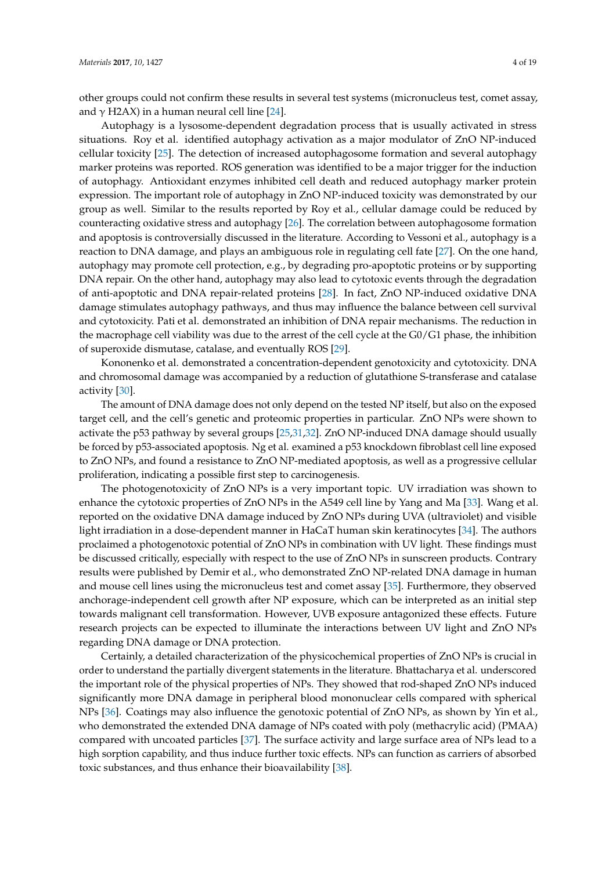other groups could not confirm these results in several test systems (micronucleus test, comet assay, and  $\gamma$  H2AX) in a human neural cell line [\[24\]](#page-14-4).

Autophagy is a lysosome-dependent degradation process that is usually activated in stress situations. Roy et al. identified autophagy activation as a major modulator of ZnO NP-induced cellular toxicity [\[25\]](#page-14-5). The detection of increased autophagosome formation and several autophagy marker proteins was reported. ROS generation was identified to be a major trigger for the induction of autophagy. Antioxidant enzymes inhibited cell death and reduced autophagy marker protein expression. The important role of autophagy in ZnO NP-induced toxicity was demonstrated by our group as well. Similar to the results reported by Roy et al., cellular damage could be reduced by counteracting oxidative stress and autophagy [\[26\]](#page-14-6). The correlation between autophagosome formation and apoptosis is controversially discussed in the literature. According to Vessoni et al., autophagy is a reaction to DNA damage, and plays an ambiguous role in regulating cell fate [\[27\]](#page-14-7). On the one hand, autophagy may promote cell protection, e.g., by degrading pro-apoptotic proteins or by supporting DNA repair. On the other hand, autophagy may also lead to cytotoxic events through the degradation of anti-apoptotic and DNA repair-related proteins [\[28\]](#page-14-8). In fact, ZnO NP-induced oxidative DNA damage stimulates autophagy pathways, and thus may influence the balance between cell survival and cytotoxicity. Pati et al. demonstrated an inhibition of DNA repair mechanisms. The reduction in the macrophage cell viability was due to the arrest of the cell cycle at the G0/G1 phase, the inhibition of superoxide dismutase, catalase, and eventually ROS [\[29\]](#page-14-9).

Kononenko et al. demonstrated a concentration-dependent genotoxicity and cytotoxicity. DNA and chromosomal damage was accompanied by a reduction of glutathione S-transferase and catalase activity [\[30\]](#page-14-10).

The amount of DNA damage does not only depend on the tested NP itself, but also on the exposed target cell, and the cell's genetic and proteomic properties in particular. ZnO NPs were shown to activate the p53 pathway by several groups [\[25](#page-14-5)[,31,](#page-14-11)[32\]](#page-14-12). ZnO NP-induced DNA damage should usually be forced by p53-associated apoptosis. Ng et al. examined a p53 knockdown fibroblast cell line exposed to ZnO NPs, and found a resistance to ZnO NP-mediated apoptosis, as well as a progressive cellular proliferation, indicating a possible first step to carcinogenesis.

The photogenotoxicity of ZnO NPs is a very important topic. UV irradiation was shown to enhance the cytotoxic properties of ZnO NPs in the A549 cell line by Yang and Ma [\[33\]](#page-14-13). Wang et al. reported on the oxidative DNA damage induced by ZnO NPs during UVA (ultraviolet) and visible light irradiation in a dose-dependent manner in HaCaT human skin keratinocytes [\[34\]](#page-14-14). The authors proclaimed a photogenotoxic potential of ZnO NPs in combination with UV light. These findings must be discussed critically, especially with respect to the use of ZnO NPs in sunscreen products. Contrary results were published by Demir et al., who demonstrated ZnO NP-related DNA damage in human and mouse cell lines using the micronucleus test and comet assay [\[35\]](#page-14-15). Furthermore, they observed anchorage-independent cell growth after NP exposure, which can be interpreted as an initial step towards malignant cell transformation. However, UVB exposure antagonized these effects. Future research projects can be expected to illuminate the interactions between UV light and ZnO NPs regarding DNA damage or DNA protection.

Certainly, a detailed characterization of the physicochemical properties of ZnO NPs is crucial in order to understand the partially divergent statements in the literature. Bhattacharya et al. underscored the important role of the physical properties of NPs. They showed that rod-shaped ZnO NPs induced significantly more DNA damage in peripheral blood mononuclear cells compared with spherical NPs [\[36\]](#page-14-16). Coatings may also influence the genotoxic potential of ZnO NPs, as shown by Yin et al., who demonstrated the extended DNA damage of NPs coated with poly (methacrylic acid) (PMAA) compared with uncoated particles [\[37\]](#page-14-17). The surface activity and large surface area of NPs lead to a high sorption capability, and thus induce further toxic effects. NPs can function as carriers of absorbed toxic substances, and thus enhance their bioavailability [\[38\]](#page-14-18).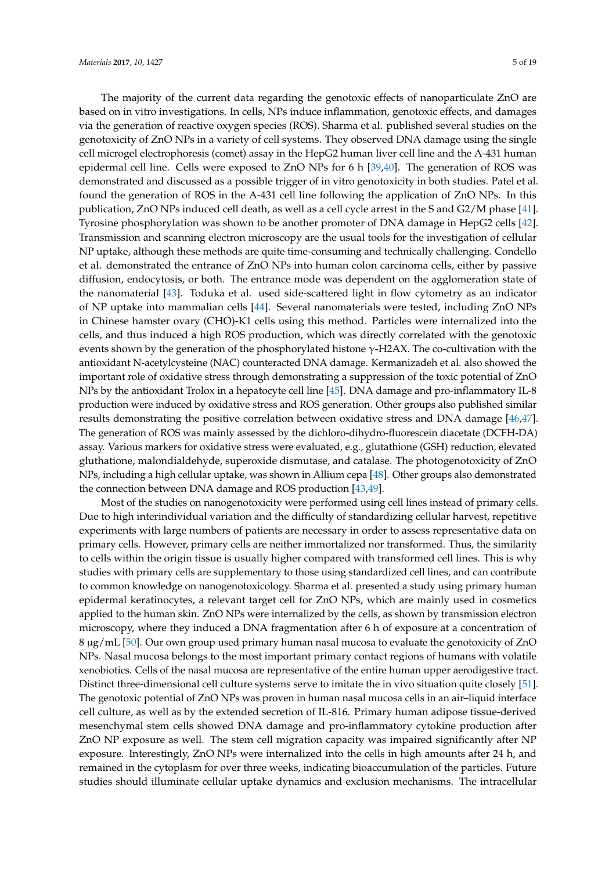The majority of the current data regarding the genotoxic effects of nanoparticulate ZnO are based on in vitro investigations. In cells, NPs induce inflammation, genotoxic effects, and damages via the generation of reactive oxygen species (ROS). Sharma et al. published several studies on the genotoxicity of ZnO NPs in a variety of cell systems. They observed DNA damage using the single cell microgel electrophoresis (comet) assay in the HepG2 human liver cell line and the A-431 human epidermal cell line. Cells were exposed to ZnO NPs for 6 h [\[39](#page-15-0)[,40\]](#page-15-1). The generation of ROS was demonstrated and discussed as a possible trigger of in vitro genotoxicity in both studies. Patel et al. found the generation of ROS in the A-431 cell line following the application of ZnO NPs. In this publication, ZnO NPs induced cell death, as well as a cell cycle arrest in the S and G2/M phase [\[41\]](#page-15-2). Tyrosine phosphorylation was shown to be another promoter of DNA damage in HepG2 cells [\[42\]](#page-15-3). Transmission and scanning electron microscopy are the usual tools for the investigation of cellular NP uptake, although these methods are quite time-consuming and technically challenging. Condello et al. demonstrated the entrance of ZnO NPs into human colon carcinoma cells, either by passive diffusion, endocytosis, or both. The entrance mode was dependent on the agglomeration state of the nanomaterial [\[43\]](#page-15-4). Toduka et al. used side-scattered light in flow cytometry as an indicator of NP uptake into mammalian cells [\[44\]](#page-15-5). Several nanomaterials were tested, including ZnO NPs in Chinese hamster ovary (CHO)-K1 cells using this method. Particles were internalized into the cells, and thus induced a high ROS production, which was directly correlated with the genotoxic events shown by the generation of the phosphorylated histone  $\gamma$ -H2AX. The co-cultivation with the antioxidant N-acetylcysteine (NAC) counteracted DNA damage. Kermanizadeh et al. also showed the important role of oxidative stress through demonstrating a suppression of the toxic potential of ZnO NPs by the antioxidant Trolox in a hepatocyte cell line [\[45\]](#page-15-6). DNA damage and pro-inflammatory IL-8 production were induced by oxidative stress and ROS generation. Other groups also published similar results demonstrating the positive correlation between oxidative stress and DNA damage [\[46,](#page-15-7)[47\]](#page-15-8). The generation of ROS was mainly assessed by the dichloro-dihydro-fluorescein diacetate (DCFH-DA) assay. Various markers for oxidative stress were evaluated, e.g., glutathione (GSH) reduction, elevated gluthatione, malondialdehyde, superoxide dismutase, and catalase. The photogenotoxicity of ZnO NPs, including a high cellular uptake, was shown in Allium cepa [\[48\]](#page-15-9). Other groups also demonstrated the connection between DNA damage and ROS production [\[43](#page-15-4)[,49\]](#page-15-10).

Most of the studies on nanogenotoxicity were performed using cell lines instead of primary cells. Due to high interindividual variation and the difficulty of standardizing cellular harvest, repetitive experiments with large numbers of patients are necessary in order to assess representative data on primary cells. However, primary cells are neither immortalized nor transformed. Thus, the similarity to cells within the origin tissue is usually higher compared with transformed cell lines. This is why studies with primary cells are supplementary to those using standardized cell lines, and can contribute to common knowledge on nanogenotoxicology. Sharma et al. presented a study using primary human epidermal keratinocytes, a relevant target cell for ZnO NPs, which are mainly used in cosmetics applied to the human skin. ZnO NPs were internalized by the cells, as shown by transmission electron microscopy, where they induced a DNA fragmentation after 6 h of exposure at a concentration of 8 µg/mL [\[50\]](#page-15-11). Our own group used primary human nasal mucosa to evaluate the genotoxicity of ZnO NPs. Nasal mucosa belongs to the most important primary contact regions of humans with volatile xenobiotics. Cells of the nasal mucosa are representative of the entire human upper aerodigestive tract. Distinct three-dimensional cell culture systems serve to imitate the in vivo situation quite closely [\[51\]](#page-15-12). The genotoxic potential of ZnO NPs was proven in human nasal mucosa cells in an air–liquid interface cell culture, as well as by the extended secretion of IL-816. Primary human adipose tissue-derived mesenchymal stem cells showed DNA damage and pro-inflammatory cytokine production after ZnO NP exposure as well. The stem cell migration capacity was impaired significantly after NP exposure. Interestingly, ZnO NPs were internalized into the cells in high amounts after 24 h, and remained in the cytoplasm for over three weeks, indicating bioaccumulation of the particles. Future studies should illuminate cellular uptake dynamics and exclusion mechanisms. The intracellular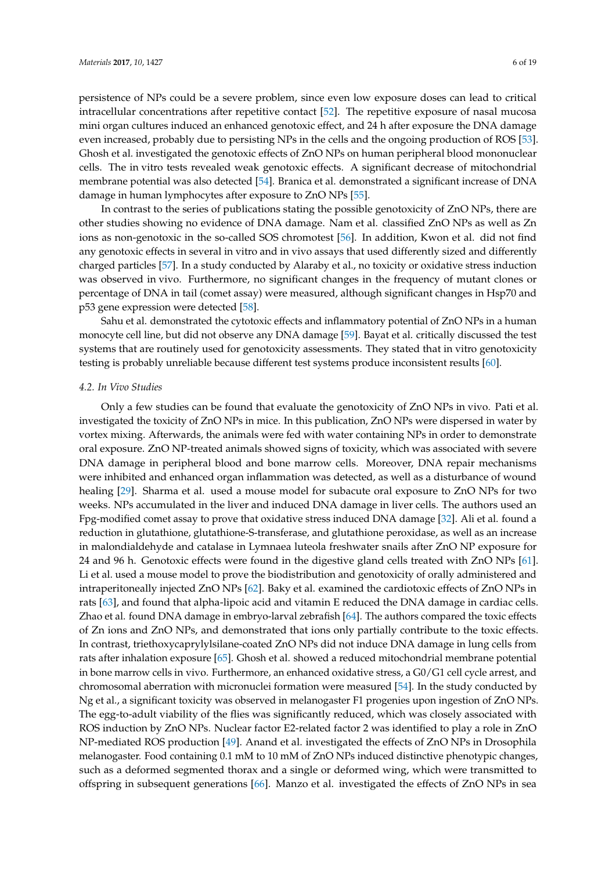persistence of NPs could be a severe problem, since even low exposure doses can lead to critical intracellular concentrations after repetitive contact [\[52\]](#page-15-13). The repetitive exposure of nasal mucosa mini organ cultures induced an enhanced genotoxic effect, and 24 h after exposure the DNA damage even increased, probably due to persisting NPs in the cells and the ongoing production of ROS [\[53\]](#page-15-14). Ghosh et al. investigated the genotoxic effects of ZnO NPs on human peripheral blood mononuclear cells. The in vitro tests revealed weak genotoxic effects. A significant decrease of mitochondrial membrane potential was also detected [\[54\]](#page-15-15). Branica et al. demonstrated a significant increase of DNA damage in human lymphocytes after exposure to ZnO NPs [\[55\]](#page-15-16).

In contrast to the series of publications stating the possible genotoxicity of ZnO NPs, there are other studies showing no evidence of DNA damage. Nam et al. classified ZnO NPs as well as Zn ions as non-genotoxic in the so-called SOS chromotest [\[56\]](#page-15-17). In addition, Kwon et al. did not find any genotoxic effects in several in vitro and in vivo assays that used differently sized and differently charged particles [\[57\]](#page-16-0). In a study conducted by Alaraby et al., no toxicity or oxidative stress induction was observed in vivo. Furthermore, no significant changes in the frequency of mutant clones or percentage of DNA in tail (comet assay) were measured, although significant changes in Hsp70 and p53 gene expression were detected [\[58\]](#page-16-1).

Sahu et al. demonstrated the cytotoxic effects and inflammatory potential of ZnO NPs in a human monocyte cell line, but did not observe any DNA damage [\[59\]](#page-16-2). Bayat et al. critically discussed the test systems that are routinely used for genotoxicity assessments. They stated that in vitro genotoxicity testing is probably unreliable because different test systems produce inconsistent results [\[60\]](#page-16-3).

#### *4.2. In Vivo Studies*

Only a few studies can be found that evaluate the genotoxicity of ZnO NPs in vivo. Pati et al. investigated the toxicity of ZnO NPs in mice. In this publication, ZnO NPs were dispersed in water by vortex mixing. Afterwards, the animals were fed with water containing NPs in order to demonstrate oral exposure. ZnO NP-treated animals showed signs of toxicity, which was associated with severe DNA damage in peripheral blood and bone marrow cells. Moreover, DNA repair mechanisms were inhibited and enhanced organ inflammation was detected, as well as a disturbance of wound healing [\[29\]](#page-14-9). Sharma et al. used a mouse model for subacute oral exposure to ZnO NPs for two weeks. NPs accumulated in the liver and induced DNA damage in liver cells. The authors used an Fpg-modified comet assay to prove that oxidative stress induced DNA damage [\[32\]](#page-14-12). Ali et al. found a reduction in glutathione, glutathione-S-transferase, and glutathione peroxidase, as well as an increase in malondialdehyde and catalase in Lymnaea luteola freshwater snails after ZnO NP exposure for 24 and 96 h. Genotoxic effects were found in the digestive gland cells treated with ZnO NPs [\[61\]](#page-16-4). Li et al. used a mouse model to prove the biodistribution and genotoxicity of orally administered and intraperitoneally injected ZnO NPs [\[62\]](#page-16-5). Baky et al. examined the cardiotoxic effects of ZnO NPs in rats [\[63\]](#page-16-6), and found that alpha-lipoic acid and vitamin E reduced the DNA damage in cardiac cells. Zhao et al. found DNA damage in embryo-larval zebrafish [\[64\]](#page-16-7). The authors compared the toxic effects of Zn ions and ZnO NPs, and demonstrated that ions only partially contribute to the toxic effects. In contrast, triethoxycaprylylsilane-coated ZnO NPs did not induce DNA damage in lung cells from rats after inhalation exposure [\[65\]](#page-16-8). Ghosh et al. showed a reduced mitochondrial membrane potential in bone marrow cells in vivo. Furthermore, an enhanced oxidative stress, a G0/G1 cell cycle arrest, and chromosomal aberration with micronuclei formation were measured [\[54\]](#page-15-15). In the study conducted by Ng et al., a significant toxicity was observed in melanogaster F1 progenies upon ingestion of ZnO NPs. The egg-to-adult viability of the flies was significantly reduced, which was closely associated with ROS induction by ZnO NPs. Nuclear factor E2-related factor 2 was identified to play a role in ZnO NP-mediated ROS production [\[49\]](#page-15-10). Anand et al. investigated the effects of ZnO NPs in Drosophila melanogaster. Food containing 0.1 mM to 10 mM of ZnO NPs induced distinctive phenotypic changes, such as a deformed segmented thorax and a single or deformed wing, which were transmitted to offspring in subsequent generations [\[66\]](#page-16-9). Manzo et al. investigated the effects of ZnO NPs in sea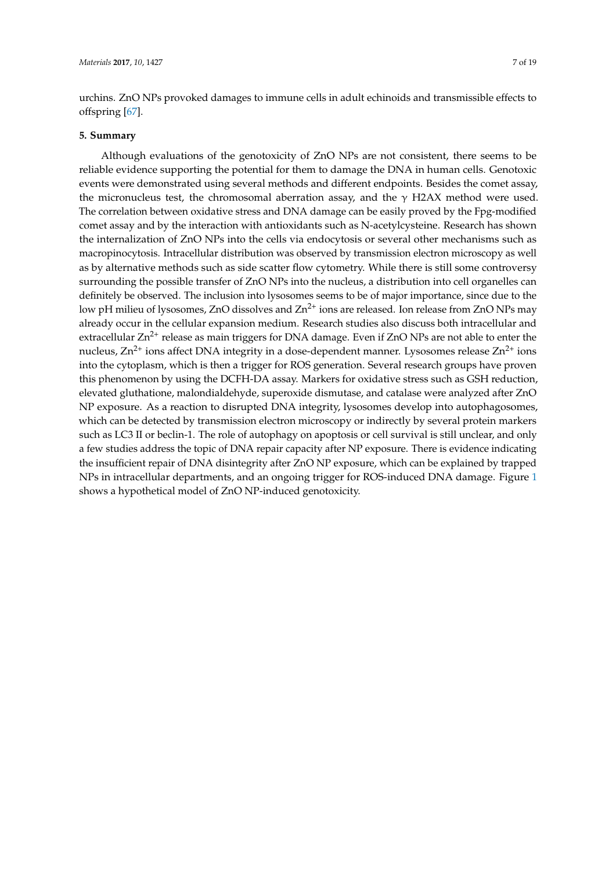urchins. ZnO NPs provoked damages to immune cells in adult echinoids and transmissible effects to offspring [\[67\]](#page-16-10).

#### **5. Summary**

Although evaluations of the genotoxicity of ZnO NPs are not consistent, there seems to be reliable evidence supporting the potential for them to damage the DNA in human cells. Genotoxic events were demonstrated using several methods and different endpoints. Besides the comet assay, the micronucleus test, the chromosomal aberration assay, and the  $\gamma$  H2AX method were used. The correlation between oxidative stress and DNA damage can be easily proved by the Fpg-modified comet assay and by the interaction with antioxidants such as N-acetylcysteine. Research has shown the internalization of ZnO NPs into the cells via endocytosis or several other mechanisms such as macropinocytosis. Intracellular distribution was observed by transmission electron microscopy as well as by alternative methods such as side scatter flow cytometry. While there is still some controversy surrounding the possible transfer of ZnO NPs into the nucleus, a distribution into cell organelles can definitely be observed. The inclusion into lysosomes seems to be of major importance, since due to the low pH milieu of lysosomes, ZnO dissolves and  $\text{Zn}^{2+}$  ions are released. Ion release from ZnO NPs may already occur in the cellular expansion medium. Research studies also discuss both intracellular and extracellular  $Zn^{2+}$  release as main triggers for DNA damage. Even if  $ZnO$  NPs are not able to enter the nucleus,  $Zn^{2+}$  ions affect DNA integrity in a dose-dependent manner. Lysosomes release  $Zn^{2+}$  ions into the cytoplasm, which is then a trigger for ROS generation. Several research groups have proven this phenomenon by using the DCFH-DA assay. Markers for oxidative stress such as GSH reduction, elevated gluthatione, malondialdehyde, superoxide dismutase, and catalase were analyzed after ZnO NP exposure. As a reaction to disrupted DNA integrity, lysosomes develop into autophagosomes, which can be detected by transmission electron microscopy or indirectly by several protein markers such as LC3 II or beclin-1. The role of autophagy on apoptosis or cell survival is still unclear, and only a few studies address the topic of DNA repair capacity after NP exposure. There is evidence indicating the insufficient repair of DNA disintegrity after ZnO NP exposure, which can be explained by trapped NPs in intracellular departments, and an ongoing trigger for ROS-induced DNA damage. Figure [1](#page-7-0) shows a hypothetical model of ZnO NP-induced genotoxicity.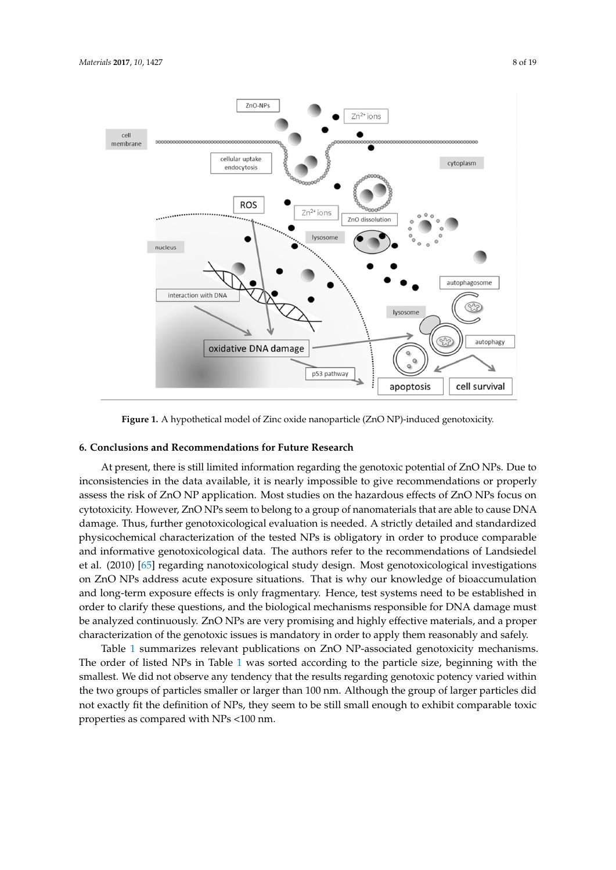<span id="page-7-0"></span>

**Figure 1.** A hypothetical model of Zinc oxide nanoparticle (ZnO NP)-induced genotoxicity. **Figure 1.** A hypothetical model of Zinc oxide nanoparticle (ZnO NP)-induced genotoxicity.

## **6. Conclusions and Recommendations for Future Research**

At present, there is still limited information regarding the genotoxic potential of ZnO NPs. Due to inconsistencies in the data available, it is nearly impossible to give recommendations or properly assess the risk of ZnO NP application. Most studies on the hazardous effects of ZnO NPs focus on cytotoxicity. However, ZnO NPs seem to belong to a group of nanomaterials that are able to cause DNA damage. Thus, further genotoxicological evaluation is needed. A strictly detailed and standardized physicochemical characterization of the tested NPs is obligatory in order to produce comparable and informative genotoxicological data. The authors refer to the recommendations of Landsiedel et al. (2010) [\[65\]](#page-16-8) regarding nanotoxicological study design. Most genotoxicological investigations on ZnO NPs address acute exposure situations. That is why our knowledge of bioaccumulation and long-term exposure effects is only fragmentary. Hence, test systems need to be established in order to clarify these questions, and the biological mechanisms responsible for DNA damage must be analyzed continuously. ZnO NPs are very promising and highly effective materials, and a proper characterization of the genotoxic issues is mandatory in order to apply them reasonably and safely.

Table [1](#page-12-0) summarizes relevant publications on ZnO NP-associated genotoxicity mechanisms. The order of listed NPs in Table [1](#page-12-0) was sorted according to the particle size, beginning with the smallest. We did not observe any tendency that the results regarding genotoxic potency varied within the two groups of particles smaller or larger than 100 nm. Although the group of larger particles did not exactly fit the definition of NPs, they seem to be still small enough to exhibit comparable toxic properties as compared with NPs <100 nm.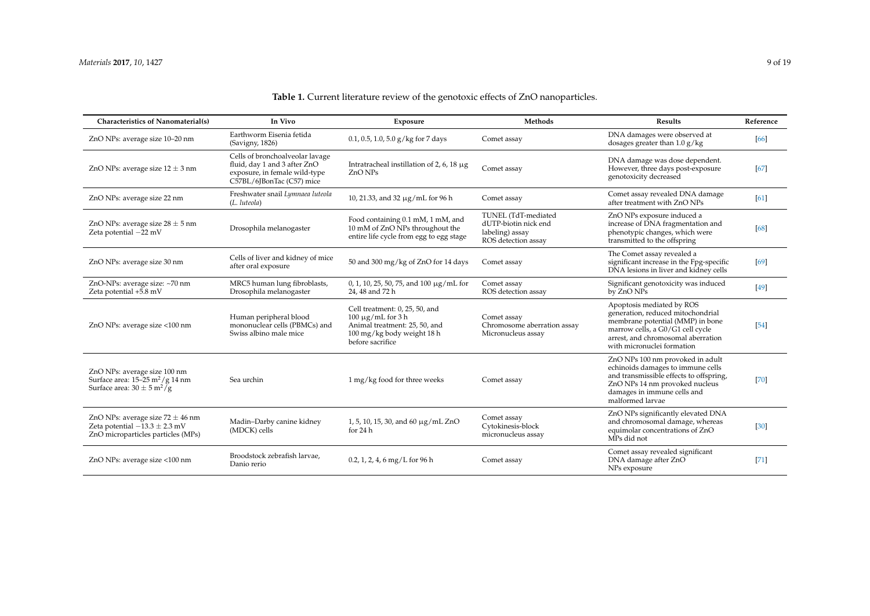| <b>Characteristics of Nanomaterial(s)</b>                                                                                      | In Vivo                                                                                                                       | Exposure                                                                                                                                    | <b>Methods</b>                                                                        | <b>Results</b>                                                                                                                                                                                             | Reference |
|--------------------------------------------------------------------------------------------------------------------------------|-------------------------------------------------------------------------------------------------------------------------------|---------------------------------------------------------------------------------------------------------------------------------------------|---------------------------------------------------------------------------------------|------------------------------------------------------------------------------------------------------------------------------------------------------------------------------------------------------------|-----------|
| ZnO NPs: average size 10-20 nm                                                                                                 | Earthworm Eisenia fetida<br>(Savigny, 1826)                                                                                   | $0.1$ , 0.5, 1.0, 5.0 g/kg for 7 days                                                                                                       | Comet assay                                                                           | DNA damages were observed at<br>dosages greater than $1.0 g/kg$                                                                                                                                            | [66]      |
| ZnO NPs: average size $12 \pm 3$ nm                                                                                            | Cells of bronchoalveolar lavage<br>fluid, day 1 and 3 after ZnO<br>exposure, in female wild-type<br>C57BL/6JBonTac (C57) mice | Intratracheal instillation of 2, 6, 18 $\mu$ g<br>ZnO NPs                                                                                   | Comet assay                                                                           | DNA damage was dose dependent.<br>However, three days post-exposure<br>genotoxicity decreased                                                                                                              | [67]      |
| ZnO NPs: average size 22 nm                                                                                                    | Freshwater snail Lymnaea luteola<br>(L. luteola)                                                                              | 10, 21.33, and 32 μg/mL for 96 h                                                                                                            | Comet assay                                                                           | Comet assay revealed DNA damage<br>after treatment with ZnO NPs                                                                                                                                            | [61]      |
| ZnO NPs: average size $28 \pm 5$ nm<br>Zeta potential $-22$ mV                                                                 | Drosophila melanogaster                                                                                                       | Food containing 0.1 mM, 1 mM, and<br>10 mM of ZnO NPs throughout the<br>entire life cycle from egg to egg stage                             | TUNEL (TdT-mediated<br>dUTP-biotin nick end<br>labeling) assay<br>ROS detection assay | ZnO NPs exposure induced a<br>increase of DNA fragmentation and<br>phenotypic changes, which were<br>transmitted to the offspring                                                                          | [68]      |
| ZnO NPs: average size 30 nm                                                                                                    | Cells of liver and kidney of mice<br>after oral exposure                                                                      | 50 and 300 mg/kg of ZnO for 14 days                                                                                                         | Comet assay                                                                           | The Comet assay revealed a<br>significant increase in the Fpg-specific<br>DNA lesions in liver and kidney cells                                                                                            | [69]      |
| ZnO-NPs: average size: ~70 nm<br>Zeta potential +5.8 mV                                                                        | MRC5 human lung fibroblasts,<br>Drosophila melanogaster                                                                       | 0, 1, 10, 25, 50, 75, and 100 $\mu$ g/mL for<br>24, 48 and 72 h                                                                             | Comet assay<br>ROS detection assay                                                    | Significant genotoxicity was induced<br>by ZnO NPs                                                                                                                                                         | $[49]$    |
| ZnO NPs: average size <100 nm                                                                                                  | Human peripheral blood<br>mononuclear cells (PBMCs) and<br>Swiss albino male mice                                             | Cell treatment: 0, 25, 50, and<br>$100 \mu g/mL$ for 3 h<br>Animal treatment: 25, 50, and<br>100 mg/kg body weight 18 h<br>before sacrifice | Comet assay<br>Chromosome aberration assay<br>Micronucleus assay                      | Apoptosis mediated by ROS<br>generation, reduced mitochondrial<br>membrane potential (MMP) in bone<br>marrow cells, a G0/G1 cell cycle<br>arrest, and chromosomal aberration<br>with micronuclei formation | $[54]$    |
| ZnO NPs: average size 100 nm<br>Surface area: $15-25$ m <sup>2</sup> /g 14 nm<br>Surface area: $30 \pm 5 \text{ m}^2/\text{g}$ | Sea urchin                                                                                                                    | 1 mg/kg food for three weeks                                                                                                                | Comet assay                                                                           | ZnO NPs 100 nm provoked in adult<br>echinoids damages to immune cells<br>and transmissible effects to offspring,<br>ZnO NPs 14 nm provoked nucleus<br>damages in immune cells and<br>malformed larvae      | $[70]$    |
| ZnO NPs: average size $72 \pm 46$ nm<br>Zeta potential $-13.3 \pm 2.3$ mV<br>ZnO microparticles particles (MPs)                | Madin-Darby canine kidney<br>(MDCK) cells                                                                                     | 1, 5, 10, 15, 30, and 60 μg/mL ZnO<br>for 24 h                                                                                              | Comet assay<br>Cytokinesis-block<br>micronucleus assay                                | ZnO NPs significantly elevated DNA<br>and chromosomal damage, whereas<br>equimolar concentrations of ZnO<br>MPs did not                                                                                    | $[30]$    |
| ZnO NPs: average size <100 nm                                                                                                  | Broodstock zebrafish larvae,<br>Danio rerio                                                                                   | $0.2, 1, 2, 4, 6$ mg/L for 96 h                                                                                                             | Comet assay                                                                           | Comet assay revealed significant<br>DNA damage after ZnO<br>NPs exposure                                                                                                                                   | $[71]$    |

## **Table 1.** Current literature review of the genotoxic effects of ZnO nanoparticles.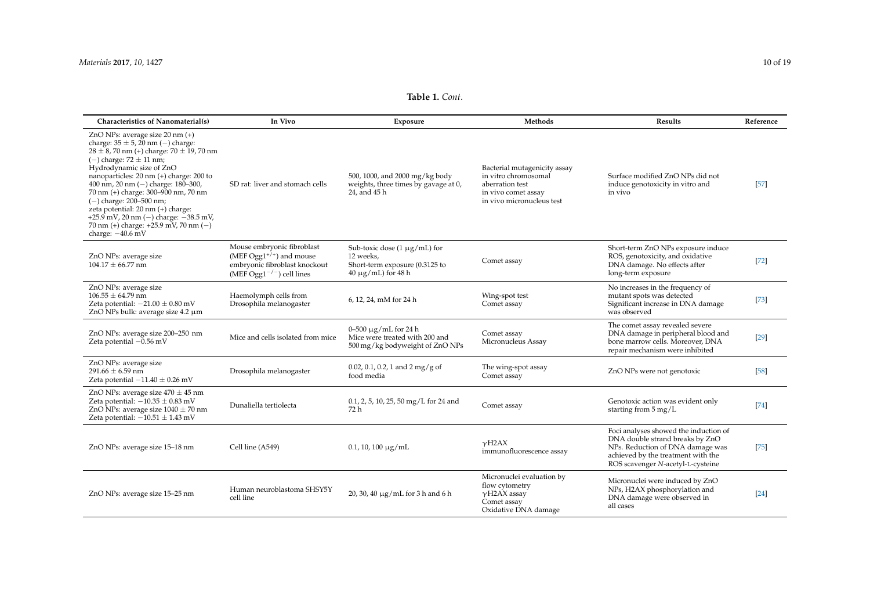| Characteristics of Nanomaterial(s)                                                                                                                                                                                                                                                                                                                                                                                                                                                                               | In Vivo                                                                                                                         | Exposure                                                                                                     | Methods                                                                                                                     | Results                                                                                                                                                                                 | Reference |
|------------------------------------------------------------------------------------------------------------------------------------------------------------------------------------------------------------------------------------------------------------------------------------------------------------------------------------------------------------------------------------------------------------------------------------------------------------------------------------------------------------------|---------------------------------------------------------------------------------------------------------------------------------|--------------------------------------------------------------------------------------------------------------|-----------------------------------------------------------------------------------------------------------------------------|-----------------------------------------------------------------------------------------------------------------------------------------------------------------------------------------|-----------|
| ZnO NPs: average size $20 \text{ nm } (+)$<br>charge: $35 \pm 5$ , 20 nm (-) charge:<br>$28 \pm 8$ , 70 nm (+) charge: 70 $\pm$ 19, 70 nm<br>$(-)$ charge: $72 \pm 11$ nm;<br>Hydrodynamic size of ZnO<br>nanoparticles: 20 nm (+) charge: 200 to<br>400 nm, 20 nm $(-)$ charge: 180-300,<br>70 nm (+) charge: 300-900 nm, 70 nm<br>$(-)$ charge: 200–500 nm;<br>zeta potential: 20 nm (+) charge:<br>$+25.9$ mV, 20 nm (-) charge: $-38.5$ mV,<br>70 nm (+) charge: $+25.9$ mV, 70 nm (-)<br>charge: $-40.6$ mV | SD rat: liver and stomach cells                                                                                                 | 500, 1000, and 2000 mg/kg body<br>weights, three times by gavage at 0,<br>24, and 45 h                       | Bacterial mutagenicity assay<br>in vitro chromosomal<br>aberration test<br>in vivo comet assay<br>in vivo micronucleus test | Surface modified ZnO NPs did not<br>induce genotoxicity in vitro and<br>in vivo                                                                                                         | $[57]$    |
| ZnO NPs: average size<br>$104.17 \pm 66.77$ nm                                                                                                                                                                                                                                                                                                                                                                                                                                                                   | Mouse embryonic fibroblast<br>(MEF $Ogg1^{+/+}$ ) and mouse<br>embryonic fibroblast knockout<br>(MEF Ogg $1^{-/-}$ ) cell lines | Sub-toxic dose $(1 \mu g/mL)$ for<br>12 weeks.<br>Short-term exposure (0.3125 to<br>$40 \mu g/mL$ for $48 h$ | Comet assay                                                                                                                 | Short-term ZnO NPs exposure induce<br>ROS, genotoxicity, and oxidative<br>DNA damage. No effects after<br>long-term exposure                                                            | $[72]$    |
| ZnO NPs: average size<br>$106.55 \pm 64.79$ nm<br>Zeta potential: $-21.00 \pm 0.80$ mV<br>ZnO NPs bulk: average size 4.2 µm                                                                                                                                                                                                                                                                                                                                                                                      | Haemolymph cells from<br>Drosophila melanogaster                                                                                | 6, 12, 24, mM for 24 h                                                                                       | Wing-spot test<br>Comet assay                                                                                               | No increases in the frequency of<br>mutant spots was detected<br>Significant increase in DNA damage<br>was observed                                                                     | $[73]$    |
| ZnO NPs: average size 200-250 nm<br>Zeta potential $-0.56$ mV                                                                                                                                                                                                                                                                                                                                                                                                                                                    | Mice and cells isolated from mice                                                                                               | $0 - 500 \mu g/mL$ for 24 h<br>Mice were treated with 200 and<br>500 mg/kg bodyweight of ZnO NPs             | Comet assay<br>Micronucleus Assay                                                                                           | The comet assay revealed severe<br>DNA damage in peripheral blood and<br>bone marrow cells. Moreover, DNA<br>repair mechanism were inhibited                                            | $[29]$    |
| ZnO NPs: average size<br>$291.66 \pm 6.59$ nm<br>Zeta potential $-11.40 \pm 0.26$ mV                                                                                                                                                                                                                                                                                                                                                                                                                             | Drosophila melanogaster                                                                                                         | 0.02, 0.1, 0.2, 1 and 2 mg/g of<br>food media                                                                | The wing-spot assay<br>Comet assay                                                                                          | ZnO NPs were not genotoxic                                                                                                                                                              | $[58]$    |
| ZnO NPs: average size $470 \pm 45$ nm<br>Zeta potential: $-10.35 \pm 0.83$ mV<br>ZnO NPs: average size $1040 \pm 70$ nm<br>Zeta potential: $-10.51 \pm 1.43$ mV                                                                                                                                                                                                                                                                                                                                                  | Dunaliella tertiolecta                                                                                                          | 0.1, 2, 5, 10, 25, 50 mg/L for 24 and<br>72 h                                                                | Comet assay                                                                                                                 | Genotoxic action was evident only<br>starting from $5 \text{ mg/L}$                                                                                                                     | $[74]$    |
| ZnO NPs: average size 15-18 nm                                                                                                                                                                                                                                                                                                                                                                                                                                                                                   | Cell line (A549)                                                                                                                | $0.1, 10, 100 \mu g/mL$                                                                                      | $\nu$ H <sub>2</sub> A $X$<br>immunofluorescence assay                                                                      | Foci analyses showed the induction of<br>DNA double strand breaks by ZnO<br>NPs. Reduction of DNA damage was<br>achieved by the treatment with the<br>ROS scavenger N-acetyl-L-cysteine | $[75]$    |
| ZnO NPs: average size 15-25 nm                                                                                                                                                                                                                                                                                                                                                                                                                                                                                   | Human neuroblastoma SHSY5Y<br>cell line                                                                                         | 20, 30, 40 μg/mL for 3 h and 6 h                                                                             | Micronuclei evaluation by<br>flow cytometry<br>$\gamma$ H2AX assay<br>Comet assay<br>Oxidative DNA damage                   | Micronuclei were induced by ZnO<br>NPs, H2AX phosphorylation and<br>DNA damage were observed in<br>all cases                                                                            | $[24]$    |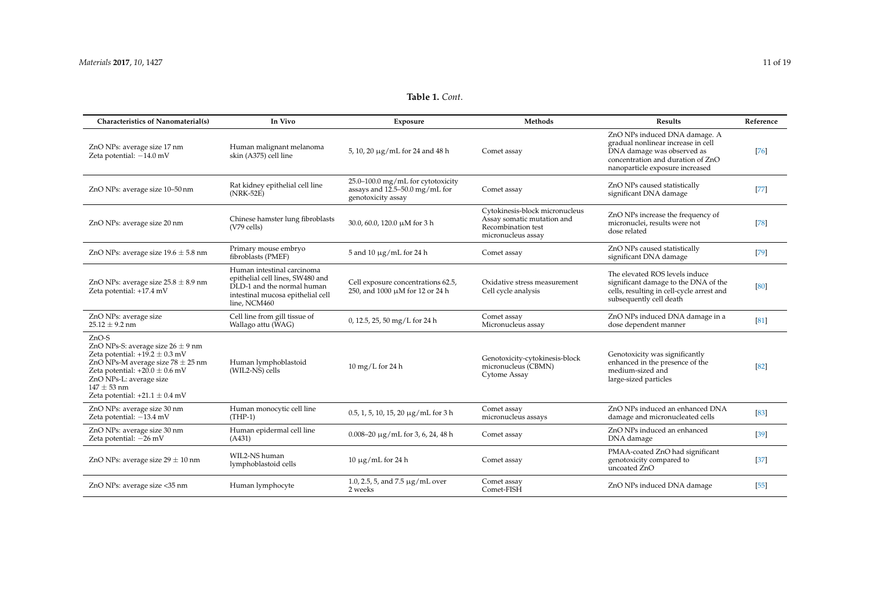| <b>Characteristics of Nanomaterial(s)</b>                                                                                                                                                                                                                 | In Vivo                                                                                                                                           | Exposure                                                                                  | <b>Methods</b>                                                                                           | <b>Results</b>                                                                                                                                                            | Reference |
|-----------------------------------------------------------------------------------------------------------------------------------------------------------------------------------------------------------------------------------------------------------|---------------------------------------------------------------------------------------------------------------------------------------------------|-------------------------------------------------------------------------------------------|----------------------------------------------------------------------------------------------------------|---------------------------------------------------------------------------------------------------------------------------------------------------------------------------|-----------|
| ZnO NPs: average size 17 nm<br>Zeta potential: $-14.0$ mV                                                                                                                                                                                                 | Human malignant melanoma<br>skin (A375) cell line                                                                                                 | 5, 10, 20 $\mu$ g/mL for 24 and 48 h                                                      | Comet assay                                                                                              | ZnO NPs induced DNA damage. A<br>gradual nonlinear increase in cell<br>DNA damage was observed as<br>concentration and duration of ZnO<br>nanoparticle exposure increased | $[76]$    |
| ZnO NPs: average size 10-50 nm                                                                                                                                                                                                                            | Rat kidney epithelial cell line<br>$(NRK-52E)$                                                                                                    | 25.0-100.0 mg/mL for cytotoxicity<br>assays and 12.5–50.0 mg/mL for<br>genotoxicity assay | Comet assay                                                                                              | ZnO NPs caused statistically<br>significant DNA damage                                                                                                                    | $[77]$    |
| ZnO NPs: average size 20 nm                                                                                                                                                                                                                               | Chinese hamster lung fibroblasts<br>(V79 cells)                                                                                                   | 30.0, 60.0, 120.0 µM for 3 h                                                              | Cytokinesis-block micronucleus<br>Assay somatic mutation and<br>Recombination test<br>micronucleus assay | ZnO NPs increase the frequency of<br>micronuclei, results were not<br>dose related                                                                                        | $[78]$    |
| ZnO NPs: average size $19.6 \pm 5.8$ nm                                                                                                                                                                                                                   | Primary mouse embryo<br>fibroblasts (PMEF)                                                                                                        | 5 and 10 $\mu$ g/mL for 24 h                                                              | Comet assay                                                                                              | ZnO NPs caused statistically<br>significant DNA damage                                                                                                                    | $[79]$    |
| ZnO NPs: average size $25.8 \pm 8.9$ nm<br>Zeta potential: +17.4 mV                                                                                                                                                                                       | Human intestinal carcinoma<br>epithelial cell lines, SW480 and<br>DLD-1 and the normal human<br>intestinal mucosa epithelial cell<br>line, NCM460 | Cell exposure concentrations 62.5,<br>250, and 1000 µM for 12 or 24 h                     | Oxidative stress measurement<br>Cell cycle analysis                                                      | The elevated ROS levels induce<br>significant damage to the DNA of the<br>cells, resulting in cell-cycle arrest and<br>subsequently cell death                            | [80]      |
| ZnO NPs: average size<br>$25.12 \pm 9.2$ nm                                                                                                                                                                                                               | Cell line from gill tissue of<br>Wallago attu (WAG)                                                                                               | 0, 12.5, 25, 50 mg/L for 24 h                                                             | Comet assay<br>Micronucleus assay                                                                        | ZnO NPs induced DNA damage in a<br>dose dependent manner                                                                                                                  | [81]      |
| $ZnO-S$<br>ZnO NPs-S: average size $26 \pm 9$ nm<br>Zeta potential: $+19.2 \pm 0.3$ mV<br>ZnO NPs-M average size $78 \pm 25$ nm<br>Zeta potential: $+20.0 \pm 0.6$ mV<br>ZnO NPs-L: average size<br>$147 \pm 53$ nm<br>Zeta potential: $+21.1 \pm 0.4$ mV | Human lymphoblastoid<br>(WIL2-NS) cells                                                                                                           | $10 \text{ mg/L}$ for 24 h                                                                | Genotoxicity-cytokinesis-block<br>micronucleus (CBMN)<br>Cytome Assay                                    | Genotoxicity was significantly<br>enhanced in the presence of the<br>medium-sized and<br>large-sized particles                                                            | $[82]$    |
| ZnO NPs: average size 30 nm<br>Zeta potential: $-13.4$ mV                                                                                                                                                                                                 | Human monocytic cell line<br>$(THP-1)$                                                                                                            | $0.5, 1, 5, 10, 15, 20 \mu g/mL$ for 3 h                                                  | Comet assay<br>micronucleus assays                                                                       | ZnO NPs induced an enhanced DNA<br>damage and micronucleated cells                                                                                                        | $[83]$    |
| ZnO NPs: average size 30 nm<br>Zeta potential: -26 mV                                                                                                                                                                                                     | Human epidermal cell line<br>(A431)                                                                                                               | $0.008 - 20 \mu g/mL$ for 3, 6, 24, 48 h                                                  | Comet assay                                                                                              | ZnO NPs induced an enhanced<br>DNA damage                                                                                                                                 | $[39]$    |
| ZnO NPs: average size $29 \pm 10$ nm                                                                                                                                                                                                                      | WIL2-NS human<br>lymphoblastoid cells                                                                                                             | $10 \mu g/mL$ for 24 h                                                                    | Comet assay                                                                                              | PMAA-coated ZnO had significant<br>genotoxicity compared to<br>uncoated ZnO                                                                                               | $[37]$    |
| ZnO NPs: average size <35 nm                                                                                                                                                                                                                              | Human lymphocyte                                                                                                                                  | 1.0, 2.5, 5, and 7.5 µg/mL over<br>2 weeks                                                | Comet assay<br>Comet-FISH                                                                                | ZnO NPs induced DNA damage                                                                                                                                                | $[55]$    |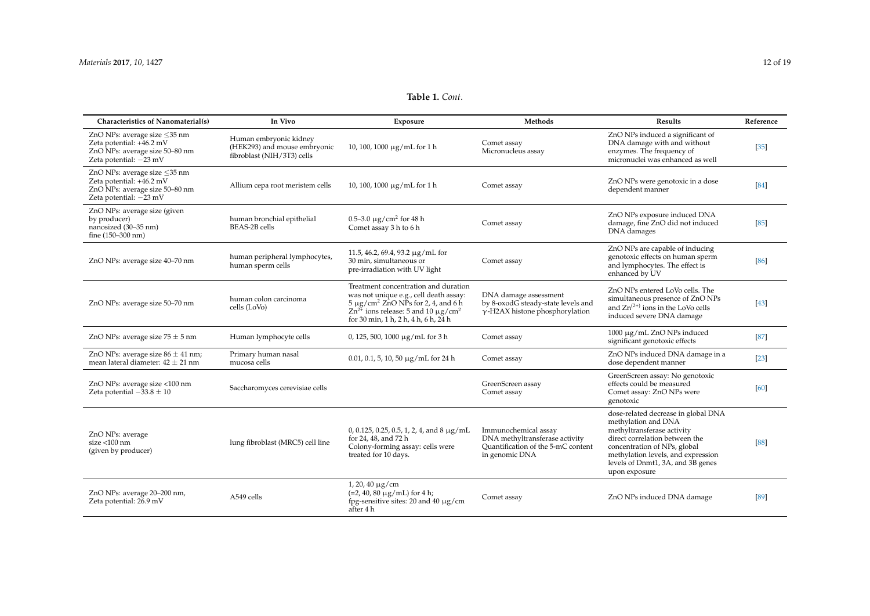| Characteristics of Nanomaterial(s)                                                                                     | In Vivo                                                                              | Exposure                                                                                                                                                                                                                             | Methods                                                                                                        | Results                                                                                                                                                                                                                                                | Reference |
|------------------------------------------------------------------------------------------------------------------------|--------------------------------------------------------------------------------------|--------------------------------------------------------------------------------------------------------------------------------------------------------------------------------------------------------------------------------------|----------------------------------------------------------------------------------------------------------------|--------------------------------------------------------------------------------------------------------------------------------------------------------------------------------------------------------------------------------------------------------|-----------|
| ZnO NPs: average size <35 nm<br>Zeta potential: +46.2 mV<br>ZnO NPs: average size 50-80 nm<br>Zeta potential: $-23$ mV | Human embryonic kidney<br>(HEK293) and mouse embryonic<br>fibroblast (NIH/3T3) cells | $10, 100, 1000 \mu g/mL$ for 1 h                                                                                                                                                                                                     | Comet assay<br>Micronucleus assay                                                                              | ZnO NPs induced a significant of<br>DNA damage with and without<br>enzymes. The frequency of<br>micronuclei was enhanced as well                                                                                                                       | $[35]$    |
| ZnO NPs: average size <35 nm<br>Zeta potential: +46.2 mV<br>ZnO NPs: average size 50-80 nm<br>Zeta potential: $-23$ mV | Allium cepa root meristem cells                                                      | $10, 100, 1000 \mu g/mL$ for 1 h                                                                                                                                                                                                     | Comet assay                                                                                                    | ZnO NPs were genotoxic in a dose<br>dependent manner                                                                                                                                                                                                   | [84]      |
| ZnO NPs: average size (given<br>by producer)<br>nanosized (30-35 nm)<br>fine (150-300 nm)                              | human bronchial epithelial<br>BEAS-2B cells                                          | 0.5–3.0 $\mu$ g/cm <sup>2</sup> for 48 h<br>Comet assay 3 h to 6 h                                                                                                                                                                   | Comet assay                                                                                                    | ZnO NPs exposure induced DNA<br>damage, fine ZnO did not induced<br>DNA damages                                                                                                                                                                        | [85]      |
| ZnO NPs: average size 40-70 nm                                                                                         | human peripheral lymphocytes,<br>human sperm cells                                   | 11.5, 46.2, 69.4, 93.2 µg/mL for<br>30 min, simultaneous or<br>pre-irradiation with UV light                                                                                                                                         | Comet assay                                                                                                    | ZnO NPs are capable of inducing<br>genotoxic effects on human sperm<br>and lymphocytes. The effect is<br>enhanced by UV                                                                                                                                | [86]      |
| ZnO NPs: average size 50-70 nm                                                                                         | human colon carcinoma<br>cells (LoVo)                                                | Treatment concentration and duration<br>was not unique e.g., cell death assay:<br>$5 \mu$ g/cm <sup>2</sup> ZnO NPs for 2, 4, and 6 h<br>$Zn^{2+}$ ions release: 5 and 10 µg/cm <sup>2</sup><br>for 30 min, 1 h, 2 h, 4 h, 6 h, 24 h | DNA damage assessment<br>by 8-oxodG steady-state levels and<br>$\gamma$ -H2AX histone phosphorylation          | ZnO NPs entered LoVo cells. The<br>simultaneous presence of ZnO NPs<br>and $Zn^{(2+)}$ ions in the LoVo cells<br>induced severe DNA damage                                                                                                             | $[43]$    |
| ZnO NPs: average size $75 \pm 5$ nm                                                                                    | Human lymphocyte cells                                                               | 0, 125, 500, 1000 $\mu$ g/mL for 3 h                                                                                                                                                                                                 | Comet assay                                                                                                    | 1000 μg/mL ZnO NPs induced<br>significant genotoxic effects                                                                                                                                                                                            | [87]      |
| ZnO NPs: average size $86 \pm 41$ nm;<br>mean lateral diameter: $42 \pm 21$ nm                                         | Primary human nasal<br>mucosa cells                                                  | $0.01$ , 0.1, 5, 10, 50 µg/mL for 24 h                                                                                                                                                                                               | Comet assay                                                                                                    | ZnO NPs induced DNA damage in a<br>dose dependent manner                                                                                                                                                                                               | $[23]$    |
| ZnO NPs: average size <100 nm<br>Zeta potential $-33.8 \pm 10$                                                         | Saccharomyces cerevisiae cells                                                       |                                                                                                                                                                                                                                      | GreenScreen assay<br>Comet assay                                                                               | GreenScreen assay: No genotoxic<br>effects could be measured<br>Comet assay: ZnO NPs were<br>genotoxic                                                                                                                                                 | [60]      |
| ZnO NPs: average<br>$size < 100$ nm<br>(given by producer)                                                             | lung fibroblast (MRC5) cell line                                                     | 0, 0.125, 0.25, 0.5, 1, 2, 4, and 8 $\mu$ g/mL<br>for 24, 48, and 72 h<br>Colony-forming assay: cells were<br>treated for 10 days.                                                                                                   | Immunochemical assay<br>DNA methyltransferase activity<br>Quantification of the 5-mC content<br>in genomic DNA | dose-related decrease in global DNA<br>methylation and DNA<br>methyltransferase activity<br>direct correlation between the<br>concentration of NPs, global<br>methylation levels, and expression<br>levels of Dnmt1, 3A, and 3B genes<br>upon exposure | [88]      |
| ZnO NPs: average 20-200 nm,<br>Zeta potential: 26.9 mV                                                                 | A549 cells                                                                           | $1, 20, 40 \mu g/cm$<br>$(=2, 40, 80 \mu g/mL)$ for 4 h;<br>fpg-sensitive sites: 20 and 40 $\mu$ g/cm<br>after 4 h                                                                                                                   | Comet assay                                                                                                    | ZnO NPs induced DNA damage                                                                                                                                                                                                                             | [89]      |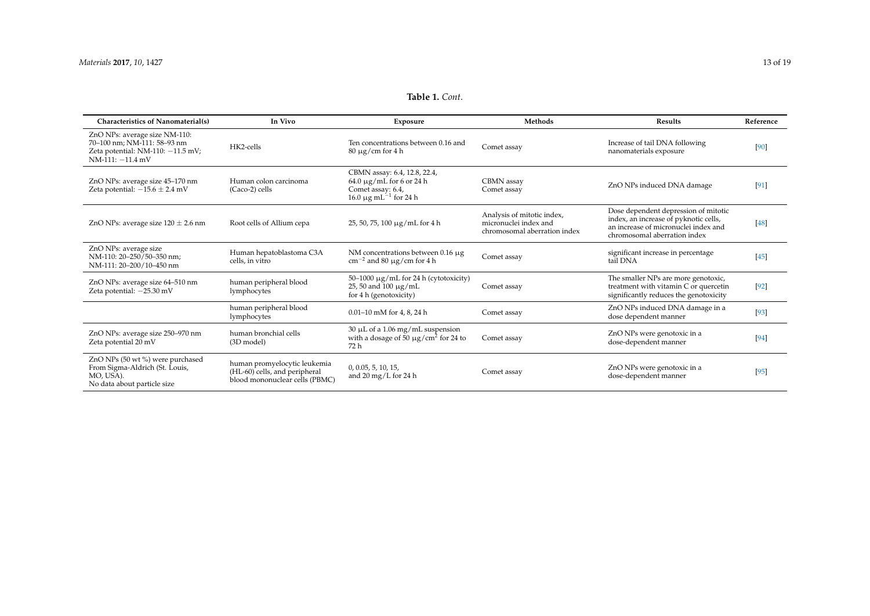<span id="page-12-0"></span>

| <b>Characteristics of Nanomaterial(s)</b>                                                                                 | In Vivo                                                                                         | Exposure                                                                                                                     | Methods                                                                             | <b>Results</b>                                                                                                                                        | Reference |
|---------------------------------------------------------------------------------------------------------------------------|-------------------------------------------------------------------------------------------------|------------------------------------------------------------------------------------------------------------------------------|-------------------------------------------------------------------------------------|-------------------------------------------------------------------------------------------------------------------------------------------------------|-----------|
| ZnO NPs: average size NM-110:<br>70-100 nm; NM-111: 58-93 nm<br>Zeta potential: NM-110: $-11.5$ mV;<br>$NM-111: -11.4 mV$ | HK2-cells                                                                                       | Ten concentrations between 0.16 and<br>$80 \mu$ g/cm for 4 h                                                                 | Comet assay                                                                         | Increase of tail DNA following<br>nanomaterials exposure                                                                                              | [90]      |
| ZnO NPs: average size 45-170 nm<br>Zeta potential: $-15.6 \pm 2.4$ mV                                                     | Human colon carcinoma<br>(Caco-2) cells                                                         | CBMN assay: 6.4, 12.8, 22.4,<br>$64.0 \mu g/mL$ for 6 or 24 h<br>Comet assay: 6.4,<br>16.0 $\mu$ g mL <sup>-1</sup> for 24 h | CBMN assay<br>Comet assay                                                           | ZnO NPs induced DNA damage                                                                                                                            | [91]      |
| ZnO NPs: average size $120 \pm 2.6$ nm                                                                                    | Root cells of Allium cepa                                                                       | $25, 50, 75, 100 \mu g/mL$ for 4 h                                                                                           | Analysis of mitotic index,<br>micronuclei index and<br>chromosomal aberration index | Dose dependent depression of mitotic<br>index, an increase of pyknotic cells,<br>an increase of micronuclei index and<br>chromosomal aberration index | [48]      |
| ZnO NPs: average size<br>NM-110: 20-250/50-350 nm;<br>NM-111: 20-200/10-450 nm                                            | Human hepatoblastoma C3A<br>cells, in vitro                                                     | NM concentrations between 0.16 $\mu$ g<br>$\text{cm}^{-2}$ and 80 µg/cm for 4 h                                              | Comet assay                                                                         | significant increase in percentage<br>tail DNA                                                                                                        | $[45]$    |
| ZnO NPs: average size 64-510 nm<br>Zeta potential: $-25.30$ mV                                                            | human peripheral blood<br>lymphocytes                                                           | $50-1000 \mu g/mL$ for 24 h (cytotoxicity)<br>25, 50 and 100 µg/mL<br>for 4 h (genotoxicity)                                 | Comet assay                                                                         | The smaller NPs are more genotoxic,<br>treatment with vitamin C or quercetin<br>significantly reduces the genotoxicity                                | $[92]$    |
|                                                                                                                           | human peripheral blood<br>lymphocytes                                                           | 0.01-10 mM for 4, 8, 24 h                                                                                                    | Comet assay                                                                         | ZnO NPs induced DNA damage in a<br>dose dependent manner                                                                                              | $[93]$    |
| ZnO NPs: average size 250-970 nm<br>Zeta potential 20 mV                                                                  | human bronchial cells<br>(3D model)                                                             | $30 \mu L$ of a 1.06 mg/mL suspension<br>with a dosage of $50 \mu g/cm^2$ for 24 to<br>72 h                                  | Comet assay                                                                         | ZnO NPs were genotoxic in a<br>dose-dependent manner                                                                                                  | [94]      |
| ZnO NPs (50 wt %) were purchased<br>From Sigma-Aldrich (St. Louis,<br>MO, USA).<br>No data about particle size            | human promyelocytic leukemia<br>(HL-60) cells, and peripheral<br>blood mononuclear cells (PBMC) | 0, 0.05, 5, 10, 15,<br>and $20 \,\mathrm{mg/L}$ for $24 \,\mathrm{h}$                                                        | Comet assay                                                                         | ZnO NPs were genotoxic in a<br>dose-dependent manner                                                                                                  | [95]      |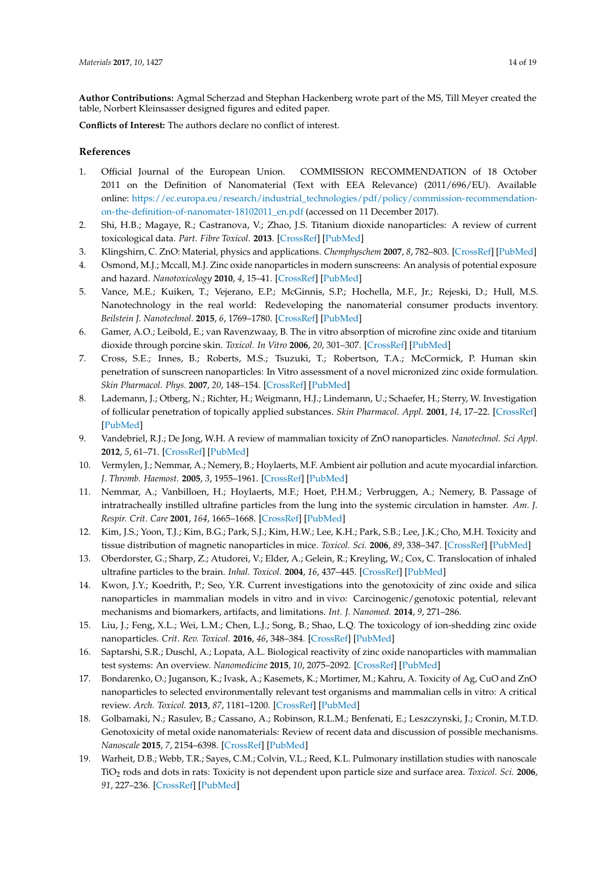**Author Contributions:** Agmal Scherzad and Stephan Hackenberg wrote part of the MS, Till Meyer created the table, Norbert Kleinsasser designed figures and edited paper.

**Conflicts of Interest:** The authors declare no conflict of interest.

## **References**

- <span id="page-13-0"></span>1. Official Journal of the European Union. COMMISSION RECOMMENDATION of 18 October 2011 on the Definition of Nanomaterial (Text with EEA Relevance) (2011/696/EU). Available online: [https://ec.europa.eu/research/industrial\\_technologies/pdf/policy/commission-recommendation](https://ec.europa.eu/research/industrial_technologies/pdf/policy/commission-recommendation-on-the-definition-of-nanomater-18102011_en.pdf)[on-the-definition-of-nanomater-18102011\\_en.pdf](https://ec.europa.eu/research/industrial_technologies/pdf/policy/commission-recommendation-on-the-definition-of-nanomater-18102011_en.pdf) (accessed on 11 December 2017).
- <span id="page-13-1"></span>2. Shi, H.B.; Magaye, R.; Castranova, V.; Zhao, J.S. Titanium dioxide nanoparticles: A review of current toxicological data. *Part. Fibre Toxicol.* **2013**. [\[CrossRef\]](http://dx.doi.org/10.1186/1743-8977-10-15) [\[PubMed\]](http://www.ncbi.nlm.nih.gov/pubmed/23587290)
- <span id="page-13-2"></span>3. Klingshirn, C. ZnO: Material, physics and applications. *Chemphyschem* **2007**, *8*, 782–803. [\[CrossRef\]](http://dx.doi.org/10.1002/cphc.200700002) [\[PubMed\]](http://www.ncbi.nlm.nih.gov/pubmed/17429819)
- <span id="page-13-3"></span>4. Osmond, M.J.; Mccall, M.J. Zinc oxide nanoparticles in modern sunscreens: An analysis of potential exposure and hazard. *Nanotoxicology* **2010**, *4*, 15–41. [\[CrossRef\]](http://dx.doi.org/10.3109/17435390903502028) [\[PubMed\]](http://www.ncbi.nlm.nih.gov/pubmed/20795900)
- <span id="page-13-4"></span>5. Vance, M.E.; Kuiken, T.; Vejerano, E.P.; McGinnis, S.P.; Hochella, M.F., Jr.; Rejeski, D.; Hull, M.S. Nanotechnology in the real world: Redeveloping the nanomaterial consumer products inventory. *Beilstein J. Nanotechnol.* **2015**, *6*, 1769–1780. [\[CrossRef\]](http://dx.doi.org/10.3762/bjnano.6.181) [\[PubMed\]](http://www.ncbi.nlm.nih.gov/pubmed/26425429)
- <span id="page-13-5"></span>6. Gamer, A.O.; Leibold, E.; van Ravenzwaay, B. The in vitro absorption of microfine zinc oxide and titanium dioxide through porcine skin. *Toxicol. In Vitro* **2006**, *20*, 301–307. [\[CrossRef\]](http://dx.doi.org/10.1016/j.tiv.2005.08.008) [\[PubMed\]](http://www.ncbi.nlm.nih.gov/pubmed/16182508)
- <span id="page-13-6"></span>7. Cross, S.E.; Innes, B.; Roberts, M.S.; Tsuzuki, T.; Robertson, T.A.; McCormick, P. Human skin penetration of sunscreen nanoparticles: In Vitro assessment of a novel micronized zinc oxide formulation. *Skin Pharmacol. Phys.* **2007**, *20*, 148–154. [\[CrossRef\]](http://dx.doi.org/10.1159/000098701) [\[PubMed\]](http://www.ncbi.nlm.nih.gov/pubmed/17230054)
- <span id="page-13-7"></span>8. Lademann, J.; Otberg, N.; Richter, H.; Weigmann, H.J.; Lindemann, U.; Schaefer, H.; Sterry, W. Investigation of follicular penetration of topically applied substances. *Skin Pharmacol. Appl.* **2001**, *14*, 17–22. [\[CrossRef\]](http://dx.doi.org/10.1159/000056385) [\[PubMed\]](http://www.ncbi.nlm.nih.gov/pubmed/11509902)
- <span id="page-13-8"></span>9. Vandebriel, R.J.; De Jong, W.H. A review of mammalian toxicity of ZnO nanoparticles. *Nanotechnol. Sci Appl.* **2012**, *5*, 61–71. [\[CrossRef\]](http://dx.doi.org/10.2147/NSA.S23932) [\[PubMed\]](http://www.ncbi.nlm.nih.gov/pubmed/24198497)
- <span id="page-13-9"></span>10. Vermylen, J.; Nemmar, A.; Nemery, B.; Hoylaerts, M.F. Ambient air pollution and acute myocardial infarction. *J. Thromb. Haemost.* **2005**, *3*, 1955–1961. [\[CrossRef\]](http://dx.doi.org/10.1111/j.1538-7836.2005.01471.x) [\[PubMed\]](http://www.ncbi.nlm.nih.gov/pubmed/16102102)
- <span id="page-13-10"></span>11. Nemmar, A.; Vanbilloen, H.; Hoylaerts, M.F.; Hoet, P.H.M.; Verbruggen, A.; Nemery, B. Passage of intratracheally instilled ultrafine particles from the lung into the systemic circulation in hamster. *Am. J. Respir. Crit. Care* **2001**, *164*, 1665–1668. [\[CrossRef\]](http://dx.doi.org/10.1164/ajrccm.164.9.2101036) [\[PubMed\]](http://www.ncbi.nlm.nih.gov/pubmed/11719307)
- <span id="page-13-11"></span>12. Kim, J.S.; Yoon, T.J.; Kim, B.G.; Park, S.J.; Kim, H.W.; Lee, K.H.; Park, S.B.; Lee, J.K.; Cho, M.H. Toxicity and tissue distribution of magnetic nanoparticles in mice. *Toxicol. Sci.* **2006**, *89*, 338–347. [\[CrossRef\]](http://dx.doi.org/10.1093/toxsci/kfj027) [\[PubMed\]](http://www.ncbi.nlm.nih.gov/pubmed/16237191)
- <span id="page-13-12"></span>13. Oberdorster, G.; Sharp, Z.; Atudorei, V.; Elder, A.; Gelein, R.; Kreyling, W.; Cox, C. Translocation of inhaled ultrafine particles to the brain. *Inhal. Toxicol.* **2004**, *16*, 437–445. [\[CrossRef\]](http://dx.doi.org/10.1080/08958370490439597) [\[PubMed\]](http://www.ncbi.nlm.nih.gov/pubmed/15204759)
- <span id="page-13-13"></span>14. Kwon, J.Y.; Koedrith, P.; Seo, Y.R. Current investigations into the genotoxicity of zinc oxide and silica nanoparticles in mammalian models in vitro and in vivo: Carcinogenic/genotoxic potential, relevant mechanisms and biomarkers, artifacts, and limitations. *Int. J. Nanomed.* **2014**, *9*, 271–286.
- <span id="page-13-14"></span>15. Liu, J.; Feng, X.L.; Wei, L.M.; Chen, L.J.; Song, B.; Shao, L.Q. The toxicology of ion-shedding zinc oxide nanoparticles. *Crit. Rev. Toxicol.* **2016**, *46*, 348–384. [\[CrossRef\]](http://dx.doi.org/10.3109/10408444.2015.1137864) [\[PubMed\]](http://www.ncbi.nlm.nih.gov/pubmed/26963861)
- <span id="page-13-15"></span>16. Saptarshi, S.R.; Duschl, A.; Lopata, A.L. Biological reactivity of zinc oxide nanoparticles with mammalian test systems: An overview. *Nanomedicine* **2015**, *10*, 2075–2092. [\[CrossRef\]](http://dx.doi.org/10.2217/nnm.15.44) [\[PubMed\]](http://www.ncbi.nlm.nih.gov/pubmed/26135328)
- <span id="page-13-16"></span>17. Bondarenko, O.; Juganson, K.; Ivask, A.; Kasemets, K.; Mortimer, M.; Kahru, A. Toxicity of Ag, CuO and ZnO nanoparticles to selected environmentally relevant test organisms and mammalian cells in vitro: A critical review. *Arch. Toxicol.* **2013**, *87*, 1181–1200. [\[CrossRef\]](http://dx.doi.org/10.1007/s00204-013-1079-4) [\[PubMed\]](http://www.ncbi.nlm.nih.gov/pubmed/23728526)
- <span id="page-13-17"></span>18. Golbamaki, N.; Rasulev, B.; Cassano, A.; Robinson, R.L.M.; Benfenati, E.; Leszczynski, J.; Cronin, M.T.D. Genotoxicity of metal oxide nanomaterials: Review of recent data and discussion of possible mechanisms. *Nanoscale* **2015**, *7*, 2154–6398. [\[CrossRef\]](http://dx.doi.org/10.1039/C4NR06670G) [\[PubMed\]](http://www.ncbi.nlm.nih.gov/pubmed/25580680)
- <span id="page-13-18"></span>19. Warheit, D.B.; Webb, T.R.; Sayes, C.M.; Colvin, V.L.; Reed, K.L. Pulmonary instillation studies with nanoscale TiO<sup>2</sup> rods and dots in rats: Toxicity is not dependent upon particle size and surface area. *Toxicol. Sci.* **2006**, *91*, 227–236. [\[CrossRef\]](http://dx.doi.org/10.1093/toxsci/kfj140) [\[PubMed\]](http://www.ncbi.nlm.nih.gov/pubmed/16495353)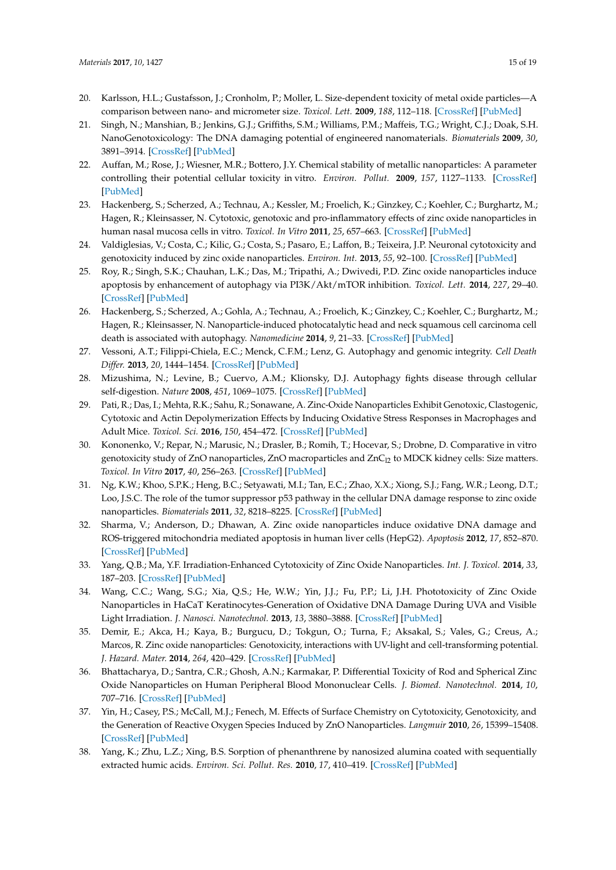- <span id="page-14-23"></span><span id="page-14-21"></span><span id="page-14-0"></span>20. Karlsson, H.L.; Gustafsson, J.; Cronholm, P.; Moller, L. Size-dependent toxicity of metal oxide particles—A comparison between nano- and micrometer size. *Toxicol. Lett.* **2009**, *188*, 112–118. [\[CrossRef\]](http://dx.doi.org/10.1016/j.toxlet.2009.03.014) [\[PubMed\]](http://www.ncbi.nlm.nih.gov/pubmed/19446243)
- <span id="page-14-20"></span><span id="page-14-1"></span>21. Singh, N.; Manshian, B.; Jenkins, G.J.; Griffiths, S.M.; Williams, P.M.; Maffeis, T.G.; Wright, C.J.; Doak, S.H. NanoGenotoxicology: The DNA damaging potential of engineered nanomaterials. *Biomaterials* **2009**, *30*, 3891–3914. [\[CrossRef\]](http://dx.doi.org/10.1016/j.biomaterials.2009.04.009) [\[PubMed\]](http://www.ncbi.nlm.nih.gov/pubmed/19427031)
- <span id="page-14-2"></span>22. Auffan, M.; Rose, J.; Wiesner, M.R.; Bottero, J.Y. Chemical stability of metallic nanoparticles: A parameter controlling their potential cellular toxicity in vitro. *Environ. Pollut.* **2009**, *157*, 1127–1133. [\[CrossRef\]](http://dx.doi.org/10.1016/j.envpol.2008.10.002) [\[PubMed\]](http://www.ncbi.nlm.nih.gov/pubmed/19013699)
- <span id="page-14-19"></span><span id="page-14-3"></span>23. Hackenberg, S.; Scherzed, A.; Technau, A.; Kessler, M.; Froelich, K.; Ginzkey, C.; Koehler, C.; Burghartz, M.; Hagen, R.; Kleinsasser, N. Cytotoxic, genotoxic and pro-inflammatory effects of zinc oxide nanoparticles in human nasal mucosa cells in vitro. *Toxicol. In Vitro* **2011**, *25*, 657–663. [\[CrossRef\]](http://dx.doi.org/10.1016/j.tiv.2011.01.003) [\[PubMed\]](http://www.ncbi.nlm.nih.gov/pubmed/21232592)
- <span id="page-14-4"></span>24. Valdiglesias, V.; Costa, C.; Kilic, G.; Costa, S.; Pasaro, E.; Laffon, B.; Teixeira, J.P. Neuronal cytotoxicity and genotoxicity induced by zinc oxide nanoparticles. *Environ. Int.* **2013**, *55*, 92–100. [\[CrossRef\]](http://dx.doi.org/10.1016/j.envint.2013.02.013) [\[PubMed\]](http://www.ncbi.nlm.nih.gov/pubmed/23535050)
- <span id="page-14-5"></span>25. Roy, R.; Singh, S.K.; Chauhan, L.K.; Das, M.; Tripathi, A.; Dwivedi, P.D. Zinc oxide nanoparticles induce apoptosis by enhancement of autophagy via PI3K/Akt/mTOR inhibition. *Toxicol. Lett.* **2014**, *227*, 29–40. [\[CrossRef\]](http://dx.doi.org/10.1016/j.toxlet.2014.02.024) [\[PubMed\]](http://www.ncbi.nlm.nih.gov/pubmed/24614525)
- <span id="page-14-6"></span>26. Hackenberg, S.; Scherzed, A.; Gohla, A.; Technau, A.; Froelich, K.; Ginzkey, C.; Koehler, C.; Burghartz, M.; Hagen, R.; Kleinsasser, N. Nanoparticle-induced photocatalytic head and neck squamous cell carcinoma cell death is associated with autophagy. *Nanomedicine* **2014**, *9*, 21–33. [\[CrossRef\]](http://dx.doi.org/10.2217/nnm.13.41) [\[PubMed\]](http://www.ncbi.nlm.nih.gov/pubmed/23731458)
- <span id="page-14-7"></span>27. Vessoni, A.T.; Filippi-Chiela, E.C.; Menck, C.F.M.; Lenz, G. Autophagy and genomic integrity. *Cell Death Differ.* **2013**, *20*, 1444–1454. [\[CrossRef\]](http://dx.doi.org/10.1038/cdd.2013.103) [\[PubMed\]](http://www.ncbi.nlm.nih.gov/pubmed/23933813)
- <span id="page-14-8"></span>28. Mizushima, N.; Levine, B.; Cuervo, A.M.; Klionsky, D.J. Autophagy fights disease through cellular self-digestion. *Nature* **2008**, *451*, 1069–1075. [\[CrossRef\]](http://dx.doi.org/10.1038/nature06639) [\[PubMed\]](http://www.ncbi.nlm.nih.gov/pubmed/18305538)
- <span id="page-14-9"></span>29. Pati, R.; Das, I.; Mehta, R.K.; Sahu, R.; Sonawane, A. Zinc-Oxide Nanoparticles Exhibit Genotoxic, Clastogenic, Cytotoxic and Actin Depolymerization Effects by Inducing Oxidative Stress Responses in Macrophages and Adult Mice. *Toxicol. Sci.* **2016**, *150*, 454–472. [\[CrossRef\]](http://dx.doi.org/10.1093/toxsci/kfw010) [\[PubMed\]](http://www.ncbi.nlm.nih.gov/pubmed/26794139)
- <span id="page-14-22"></span><span id="page-14-10"></span>30. Kononenko, V.; Repar, N.; Marusic, N.; Drasler, B.; Romih, T.; Hocevar, S.; Drobne, D. Comparative in vitro genotoxicity study of ZnO nanoparticles, ZnO macroparticles and  $ZnC<sub>12</sub>$  to MDCK kidney cells: Size matters. *Toxicol. In Vitro* **2017**, *40*, 256–263. [\[CrossRef\]](http://dx.doi.org/10.1016/j.tiv.2017.01.015) [\[PubMed\]](http://www.ncbi.nlm.nih.gov/pubmed/28126643)
- <span id="page-14-11"></span>31. Ng, K.W.; Khoo, S.P.K.; Heng, B.C.; Setyawati, M.I.; Tan, E.C.; Zhao, X.X.; Xiong, S.J.; Fang, W.R.; Leong, D.T.; Loo, J.S.C. The role of the tumor suppressor p53 pathway in the cellular DNA damage response to zinc oxide nanoparticles. *Biomaterials* **2011**, *32*, 8218–8225. [\[CrossRef\]](http://dx.doi.org/10.1016/j.biomaterials.2011.07.036) [\[PubMed\]](http://www.ncbi.nlm.nih.gov/pubmed/21807406)
- <span id="page-14-12"></span>32. Sharma, V.; Anderson, D.; Dhawan, A. Zinc oxide nanoparticles induce oxidative DNA damage and ROS-triggered mitochondria mediated apoptosis in human liver cells (HepG2). *Apoptosis* **2012**, *17*, 852–870. [\[CrossRef\]](http://dx.doi.org/10.1007/s10495-012-0705-6) [\[PubMed\]](http://www.ncbi.nlm.nih.gov/pubmed/22395444)
- <span id="page-14-13"></span>33. Yang, Q.B.; Ma, Y.F. Irradiation-Enhanced Cytotoxicity of Zinc Oxide Nanoparticles. *Int. J. Toxicol.* **2014**, *33*, 187–203. [\[CrossRef\]](http://dx.doi.org/10.1177/1091581814529168) [\[PubMed\]](http://www.ncbi.nlm.nih.gov/pubmed/24700570)
- <span id="page-14-14"></span>34. Wang, C.C.; Wang, S.G.; Xia, Q.S.; He, W.W.; Yin, J.J.; Fu, P.P.; Li, J.H. Phototoxicity of Zinc Oxide Nanoparticles in HaCaT Keratinocytes-Generation of Oxidative DNA Damage During UVA and Visible Light Irradiation. *J. Nanosci. Nanotechnol.* **2013**, *13*, 3880–3888. [\[CrossRef\]](http://dx.doi.org/10.1166/jnn.2013.7177) [\[PubMed\]](http://www.ncbi.nlm.nih.gov/pubmed/23862422)
- <span id="page-14-15"></span>35. Demir, E.; Akca, H.; Kaya, B.; Burgucu, D.; Tokgun, O.; Turna, F.; Aksakal, S.; Vales, G.; Creus, A.; Marcos, R. Zinc oxide nanoparticles: Genotoxicity, interactions with UV-light and cell-transforming potential. *J. Hazard. Mater.* **2014**, *264*, 420–429. [\[CrossRef\]](http://dx.doi.org/10.1016/j.jhazmat.2013.11.043) [\[PubMed\]](http://www.ncbi.nlm.nih.gov/pubmed/24316814)
- <span id="page-14-16"></span>36. Bhattacharya, D.; Santra, C.R.; Ghosh, A.N.; Karmakar, P. Differential Toxicity of Rod and Spherical Zinc Oxide Nanoparticles on Human Peripheral Blood Mononuclear Cells. *J. Biomed. Nanotechnol.* **2014**, *10*, 707–716. [\[CrossRef\]](http://dx.doi.org/10.1166/jbn.2014.1744) [\[PubMed\]](http://www.ncbi.nlm.nih.gov/pubmed/24734523)
- <span id="page-14-17"></span>37. Yin, H.; Casey, P.S.; McCall, M.J.; Fenech, M. Effects of Surface Chemistry on Cytotoxicity, Genotoxicity, and the Generation of Reactive Oxygen Species Induced by ZnO Nanoparticles. *Langmuir* **2010**, *26*, 15399–15408. [\[CrossRef\]](http://dx.doi.org/10.1021/la101033n) [\[PubMed\]](http://www.ncbi.nlm.nih.gov/pubmed/20809599)
- <span id="page-14-18"></span>38. Yang, K.; Zhu, L.Z.; Xing, B.S. Sorption of phenanthrene by nanosized alumina coated with sequentially extracted humic acids. *Environ. Sci. Pollut. Res.* **2010**, *17*, 410–419. [\[CrossRef\]](http://dx.doi.org/10.1007/s11356-009-0163-z) [\[PubMed\]](http://www.ncbi.nlm.nih.gov/pubmed/19468767)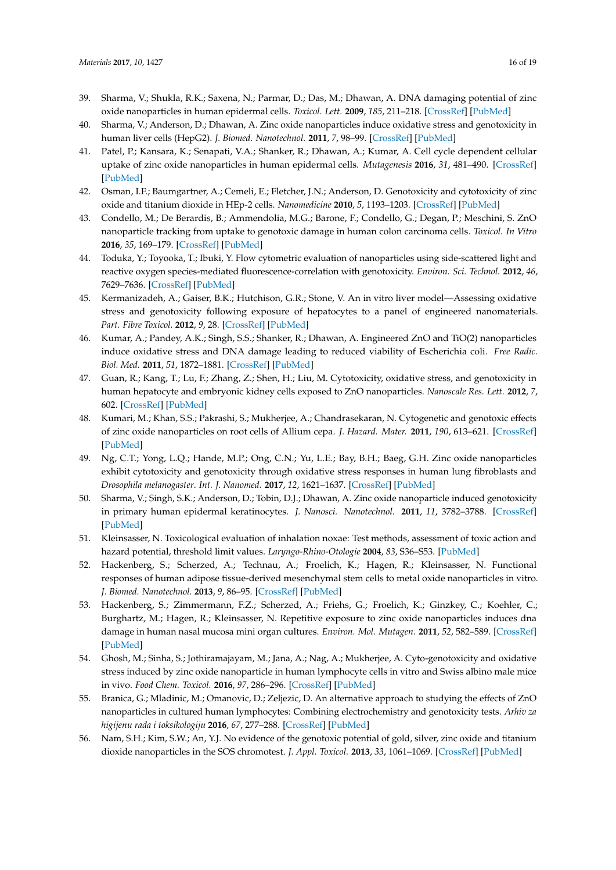- <span id="page-15-24"></span><span id="page-15-22"></span><span id="page-15-20"></span><span id="page-15-0"></span>39. Sharma, V.; Shukla, R.K.; Saxena, N.; Parmar, D.; Das, M.; Dhawan, A. DNA damaging potential of zinc oxide nanoparticles in human epidermal cells. *Toxicol. Lett.* **2009**, *185*, 211–218. [\[CrossRef\]](http://dx.doi.org/10.1016/j.toxlet.2009.01.008) [\[PubMed\]](http://www.ncbi.nlm.nih.gov/pubmed/19382294)
- <span id="page-15-1"></span>40. Sharma, V.; Anderson, D.; Dhawan, A. Zinc oxide nanoparticles induce oxidative stress and genotoxicity in human liver cells (HepG2). *J. Biomed. Nanotechnol.* **2011**, *7*, 98–99. [\[CrossRef\]](http://dx.doi.org/10.1166/jbn.2011.1220) [\[PubMed\]](http://www.ncbi.nlm.nih.gov/pubmed/21485822)
- <span id="page-15-23"></span><span id="page-15-2"></span>41. Patel, P.; Kansara, K.; Senapati, V.A.; Shanker, R.; Dhawan, A.; Kumar, A. Cell cycle dependent cellular uptake of zinc oxide nanoparticles in human epidermal cells. *Mutagenesis* **2016**, *31*, 481–490. [\[CrossRef\]](http://dx.doi.org/10.1093/mutage/gew014) [\[PubMed\]](http://www.ncbi.nlm.nih.gov/pubmed/27034448)
- <span id="page-15-18"></span><span id="page-15-3"></span>42. Osman, I.F.; Baumgartner, A.; Cemeli, E.; Fletcher, J.N.; Anderson, D. Genotoxicity and cytotoxicity of zinc oxide and titanium dioxide in HEp-2 cells. *Nanomedicine* **2010**, *5*, 1193–1203. [\[CrossRef\]](http://dx.doi.org/10.2217/nnm.10.52) [\[PubMed\]](http://www.ncbi.nlm.nih.gov/pubmed/21039197)
- <span id="page-15-4"></span>43. Condello, M.; De Berardis, B.; Ammendolia, M.G.; Barone, F.; Condello, G.; Degan, P.; Meschini, S. ZnO nanoparticle tracking from uptake to genotoxic damage in human colon carcinoma cells. *Toxicol. In Vitro* **2016**, *35*, 169–179. [\[CrossRef\]](http://dx.doi.org/10.1016/j.tiv.2016.06.005) [\[PubMed\]](http://www.ncbi.nlm.nih.gov/pubmed/27317967)
- <span id="page-15-5"></span>44. Toduka, Y.; Toyooka, T.; Ibuki, Y. Flow cytometric evaluation of nanoparticles using side-scattered light and reactive oxygen species-mediated fluorescence-correlation with genotoxicity. *Environ. Sci. Technol.* **2012**, *46*, 7629–7636. [\[CrossRef\]](http://dx.doi.org/10.1021/es300433x) [\[PubMed\]](http://www.ncbi.nlm.nih.gov/pubmed/22703531)
- <span id="page-15-6"></span>45. Kermanizadeh, A.; Gaiser, B.K.; Hutchison, G.R.; Stone, V. An in vitro liver model—Assessing oxidative stress and genotoxicity following exposure of hepatocytes to a panel of engineered nanomaterials. *Part. Fibre Toxicol.* **2012**, *9*, 28. [\[CrossRef\]](http://dx.doi.org/10.1186/1743-8977-9-28) [\[PubMed\]](http://www.ncbi.nlm.nih.gov/pubmed/22812506)
- <span id="page-15-7"></span>46. Kumar, A.; Pandey, A.K.; Singh, S.S.; Shanker, R.; Dhawan, A. Engineered ZnO and TiO(2) nanoparticles induce oxidative stress and DNA damage leading to reduced viability of Escherichia coli. *Free Radic. Biol. Med.* **2011**, *51*, 1872–1881. [\[CrossRef\]](http://dx.doi.org/10.1016/j.freeradbiomed.2011.08.025) [\[PubMed\]](http://www.ncbi.nlm.nih.gov/pubmed/21920432)
- <span id="page-15-19"></span><span id="page-15-8"></span>47. Guan, R.; Kang, T.; Lu, F.; Zhang, Z.; Shen, H.; Liu, M. Cytotoxicity, oxidative stress, and genotoxicity in human hepatocyte and embryonic kidney cells exposed to ZnO nanoparticles. *Nanoscale Res. Lett.* **2012**, *7*, 602. [\[CrossRef\]](http://dx.doi.org/10.1186/1556-276X-7-602) [\[PubMed\]](http://www.ncbi.nlm.nih.gov/pubmed/23110934)
- <span id="page-15-21"></span><span id="page-15-9"></span>48. Kumari, M.; Khan, S.S.; Pakrashi, S.; Mukherjee, A.; Chandrasekaran, N. Cytogenetic and genotoxic effects of zinc oxide nanoparticles on root cells of Allium cepa. *J. Hazard. Mater.* **2011**, *190*, 613–621. [\[CrossRef\]](http://dx.doi.org/10.1016/j.jhazmat.2011.03.095) [\[PubMed\]](http://www.ncbi.nlm.nih.gov/pubmed/21501923)
- <span id="page-15-10"></span>49. Ng, C.T.; Yong, L.Q.; Hande, M.P.; Ong, C.N.; Yu, L.E.; Bay, B.H.; Baeg, G.H. Zinc oxide nanoparticles exhibit cytotoxicity and genotoxicity through oxidative stress responses in human lung fibroblasts and *Drosophila melanogaster*. *Int. J. Nanomed.* **2017**, *12*, 1621–1637. [\[CrossRef\]](http://dx.doi.org/10.2147/IJN.S124403) [\[PubMed\]](http://www.ncbi.nlm.nih.gov/pubmed/28280330)
- <span id="page-15-11"></span>50. Sharma, V.; Singh, S.K.; Anderson, D.; Tobin, D.J.; Dhawan, A. Zinc oxide nanoparticle induced genotoxicity in primary human epidermal keratinocytes. *J. Nanosci. Nanotechnol.* **2011**, *11*, 3782–3788. [\[CrossRef\]](http://dx.doi.org/10.1166/jnn.2011.4250) [\[PubMed\]](http://www.ncbi.nlm.nih.gov/pubmed/21780369)
- <span id="page-15-12"></span>51. Kleinsasser, N. Toxicological evaluation of inhalation noxae: Test methods, assessment of toxic action and hazard potential, threshold limit values. *Laryngo-Rhino-Otologie* **2004**, *83*, S36–S53. [\[PubMed\]](http://www.ncbi.nlm.nih.gov/pubmed/15118947)
- <span id="page-15-13"></span>52. Hackenberg, S.; Scherzed, A.; Technau, A.; Froelich, K.; Hagen, R.; Kleinsasser, N. Functional responses of human adipose tissue-derived mesenchymal stem cells to metal oxide nanoparticles in vitro. *J. Biomed. Nanotechnol.* **2013**, *9*, 86–95. [\[CrossRef\]](http://dx.doi.org/10.1166/jbn.2013.1473) [\[PubMed\]](http://www.ncbi.nlm.nih.gov/pubmed/23627071)
- <span id="page-15-14"></span>53. Hackenberg, S.; Zimmermann, F.Z.; Scherzed, A.; Friehs, G.; Froelich, K.; Ginzkey, C.; Koehler, C.; Burghartz, M.; Hagen, R.; Kleinsasser, N. Repetitive exposure to zinc oxide nanoparticles induces dna damage in human nasal mucosa mini organ cultures. *Environ. Mol. Mutagen.* **2011**, *52*, 582–589. [\[CrossRef\]](http://dx.doi.org/10.1002/em.20661) [\[PubMed\]](http://www.ncbi.nlm.nih.gov/pubmed/21786336)
- <span id="page-15-15"></span>54. Ghosh, M.; Sinha, S.; Jothiramajayam, M.; Jana, A.; Nag, A.; Mukherjee, A. Cyto-genotoxicity and oxidative stress induced by zinc oxide nanoparticle in human lymphocyte cells in vitro and Swiss albino male mice in vivo. *Food Chem. Toxicol.* **2016**, *97*, 286–296. [\[CrossRef\]](http://dx.doi.org/10.1016/j.fct.2016.09.025) [\[PubMed\]](http://www.ncbi.nlm.nih.gov/pubmed/27658325)
- <span id="page-15-16"></span>55. Branica, G.; Mladinic, M.; Omanovic, D.; Zeljezic, D. An alternative approach to studying the effects of ZnO nanoparticles in cultured human lymphocytes: Combining electrochemistry and genotoxicity tests. *Arhiv za higijenu rada i toksikologiju* **2016**, *67*, 277–288. [\[CrossRef\]](http://dx.doi.org/10.1515/aiht-2016-67-2910) [\[PubMed\]](http://www.ncbi.nlm.nih.gov/pubmed/28033099)
- <span id="page-15-17"></span>56. Nam, S.H.; Kim, S.W.; An, Y.J. No evidence of the genotoxic potential of gold, silver, zinc oxide and titanium dioxide nanoparticles in the SOS chromotest. *J. Appl. Toxicol.* **2013**, *33*, 1061–1069. [\[CrossRef\]](http://dx.doi.org/10.1002/jat.2830) [\[PubMed\]](http://www.ncbi.nlm.nih.gov/pubmed/23161381)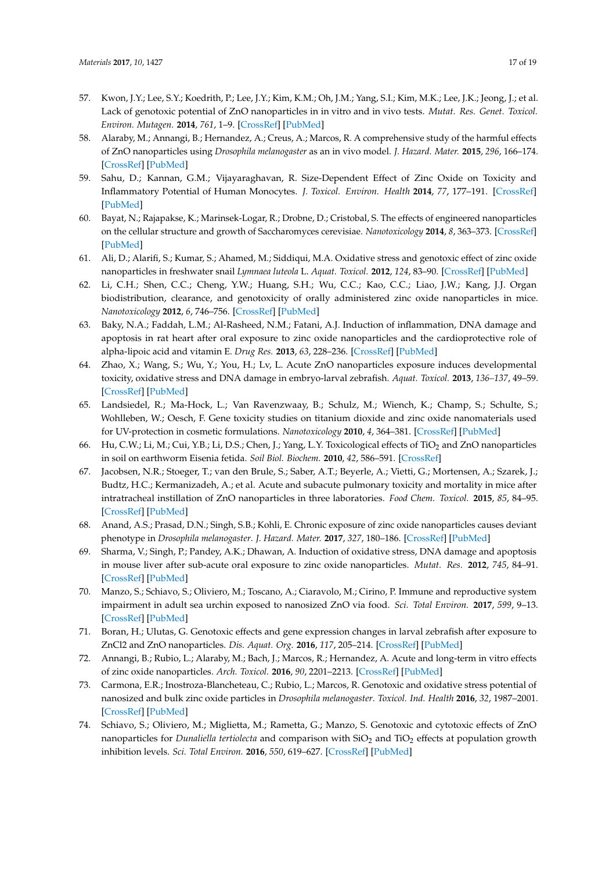- <span id="page-16-22"></span><span id="page-16-20"></span><span id="page-16-17"></span><span id="page-16-12"></span><span id="page-16-0"></span>57. Kwon, J.Y.; Lee, S.Y.; Koedrith, P.; Lee, J.Y.; Kim, K.M.; Oh, J.M.; Yang, S.I.; Kim, M.K.; Lee, J.K.; Jeong, J.; et al. Lack of genotoxic potential of ZnO nanoparticles in in vitro and in vivo tests. *Mutat. Res. Genet. Toxicol. Environ. Mutagen.* **2014**, *761*, 1–9. [\[CrossRef\]](http://dx.doi.org/10.1016/j.mrgentox.2014.01.005) [\[PubMed\]](http://www.ncbi.nlm.nih.gov/pubmed/24462964)
- <span id="page-16-1"></span>58. Alaraby, M.; Annangi, B.; Hernandez, A.; Creus, A.; Marcos, R. A comprehensive study of the harmful effects of ZnO nanoparticles using *Drosophila melanogaster* as an in vivo model. *J. Hazard. Mater.* **2015**, *296*, 166–174. [\[CrossRef\]](http://dx.doi.org/10.1016/j.jhazmat.2015.04.053) [\[PubMed\]](http://www.ncbi.nlm.nih.gov/pubmed/25917694)
- <span id="page-16-11"></span><span id="page-16-2"></span>59. Sahu, D.; Kannan, G.M.; Vijayaraghavan, R. Size-Dependent Effect of Zinc Oxide on Toxicity and Inflammatory Potential of Human Monocytes. *J. Toxicol. Environ. Health* **2014**, *77*, 177–191. [\[CrossRef\]](http://dx.doi.org/10.1080/15287394.2013.853224) [\[PubMed\]](http://www.ncbi.nlm.nih.gov/pubmed/24555677)
- <span id="page-16-3"></span>60. Bayat, N.; Rajapakse, K.; Marinsek-Logar, R.; Drobne, D.; Cristobal, S. The effects of engineered nanoparticles on the cellular structure and growth of Saccharomyces cerevisiae. *Nanotoxicology* **2014**, *8*, 363–373. [\[CrossRef\]](http://dx.doi.org/10.3109/17435390.2013.788748) [\[PubMed\]](http://www.ncbi.nlm.nih.gov/pubmed/23521755)
- <span id="page-16-13"></span><span id="page-16-4"></span>61. Ali, D.; Alarifi, S.; Kumar, S.; Ahamed, M.; Siddiqui, M.A. Oxidative stress and genotoxic effect of zinc oxide nanoparticles in freshwater snail *Lymnaea luteola* L. *Aquat. Toxicol.* **2012**, *124*, 83–90. [\[CrossRef\]](http://dx.doi.org/10.1016/j.aquatox.2012.07.012) [\[PubMed\]](http://www.ncbi.nlm.nih.gov/pubmed/22917558)
- <span id="page-16-14"></span><span id="page-16-5"></span>62. Li, C.H.; Shen, C.C.; Cheng, Y.W.; Huang, S.H.; Wu, C.C.; Kao, C.C.; Liao, J.W.; Kang, J.J. Organ biodistribution, clearance, and genotoxicity of orally administered zinc oxide nanoparticles in mice. *Nanotoxicology* **2012**, *6*, 746–756. [\[CrossRef\]](http://dx.doi.org/10.3109/17435390.2011.620717) [\[PubMed\]](http://www.ncbi.nlm.nih.gov/pubmed/21950449)
- <span id="page-16-15"></span><span id="page-16-6"></span>63. Baky, N.A.; Faddah, L.M.; Al-Rasheed, N.M.; Fatani, A.J. Induction of inflammation, DNA damage and apoptosis in rat heart after oral exposure to zinc oxide nanoparticles and the cardioprotective role of alpha-lipoic acid and vitamin E. *Drug Res.* **2013**, *63*, 228–236. [\[CrossRef\]](http://dx.doi.org/10.1055/s-0033-1334923) [\[PubMed\]](http://www.ncbi.nlm.nih.gov/pubmed/23532625)
- <span id="page-16-16"></span><span id="page-16-7"></span>64. Zhao, X.; Wang, S.; Wu, Y.; You, H.; Lv, L. Acute ZnO nanoparticles exposure induces developmental toxicity, oxidative stress and DNA damage in embryo-larval zebrafish. *Aquat. Toxicol.* **2013**, *136–137*, 49–59. [\[CrossRef\]](http://dx.doi.org/10.1016/j.aquatox.2013.03.019) [\[PubMed\]](http://www.ncbi.nlm.nih.gov/pubmed/23643724)
- <span id="page-16-19"></span><span id="page-16-18"></span><span id="page-16-8"></span>65. Landsiedel, R.; Ma-Hock, L.; Van Ravenzwaay, B.; Schulz, M.; Wiench, K.; Champ, S.; Schulte, S.; Wohlleben, W.; Oesch, F. Gene toxicity studies on titanium dioxide and zinc oxide nanomaterials used for UV-protection in cosmetic formulations. *Nanotoxicology* **2010**, *4*, 364–381. [\[CrossRef\]](http://dx.doi.org/10.3109/17435390.2010.506694) [\[PubMed\]](http://www.ncbi.nlm.nih.gov/pubmed/20925445)
- <span id="page-16-9"></span>66. Hu, C.W.; Li, M.; Cui, Y.B.; Li, D.S.; Chen, J.; Yang, L.Y. Toxicological effects of TiO<sub>2</sub> and ZnO nanoparticles in soil on earthworm Eisenia fetida. *Soil Biol. Biochem.* **2010**, *42*, 586–591. [\[CrossRef\]](http://dx.doi.org/10.1016/j.soilbio.2009.12.007)
- <span id="page-16-21"></span><span id="page-16-10"></span>67. Jacobsen, N.R.; Stoeger, T.; van den Brule, S.; Saber, A.T.; Beyerle, A.; Vietti, G.; Mortensen, A.; Szarek, J.; Budtz, H.C.; Kermanizadeh, A.; et al. Acute and subacute pulmonary toxicity and mortality in mice after intratracheal instillation of ZnO nanoparticles in three laboratories. *Food Chem. Toxicol.* **2015**, *85*, 84–95. [\[CrossRef\]](http://dx.doi.org/10.1016/j.fct.2015.08.008) [\[PubMed\]](http://www.ncbi.nlm.nih.gov/pubmed/26260750)
- 68. Anand, A.S.; Prasad, D.N.; Singh, S.B.; Kohli, E. Chronic exposure of zinc oxide nanoparticles causes deviant phenotype in *Drosophila melanogaster*. *J. Hazard. Mater.* **2017**, *327*, 180–186. [\[CrossRef\]](http://dx.doi.org/10.1016/j.jhazmat.2016.12.040) [\[PubMed\]](http://www.ncbi.nlm.nih.gov/pubmed/28064146)
- 69. Sharma, V.; Singh, P.; Pandey, A.K.; Dhawan, A. Induction of oxidative stress, DNA damage and apoptosis in mouse liver after sub-acute oral exposure to zinc oxide nanoparticles. *Mutat. Res.* **2012**, *745*, 84–91. [\[CrossRef\]](http://dx.doi.org/10.1016/j.mrgentox.2011.12.009) [\[PubMed\]](http://www.ncbi.nlm.nih.gov/pubmed/22198329)
- 70. Manzo, S.; Schiavo, S.; Oliviero, M.; Toscano, A.; Ciaravolo, M.; Cirino, P. Immune and reproductive system impairment in adult sea urchin exposed to nanosized ZnO via food. *Sci. Total Environ.* **2017**, *599*, 9–13. [\[CrossRef\]](http://dx.doi.org/10.1016/j.scitotenv.2017.04.173) [\[PubMed\]](http://www.ncbi.nlm.nih.gov/pubmed/28460290)
- 71. Boran, H.; Ulutas, G. Genotoxic effects and gene expression changes in larval zebrafish after exposure to ZnCl2 and ZnO nanoparticles. *Dis. Aquat. Org.* **2016**, *117*, 205–214. [\[CrossRef\]](http://dx.doi.org/10.3354/dao02943) [\[PubMed\]](http://www.ncbi.nlm.nih.gov/pubmed/26758654)
- 72. Annangi, B.; Rubio, L.; Alaraby, M.; Bach, J.; Marcos, R.; Hernandez, A. Acute and long-term in vitro effects of zinc oxide nanoparticles. *Arch. Toxicol.* **2016**, *90*, 2201–2213. [\[CrossRef\]](http://dx.doi.org/10.1007/s00204-015-1613-7) [\[PubMed\]](http://www.ncbi.nlm.nih.gov/pubmed/26449478)
- 73. Carmona, E.R.; Inostroza-Blancheteau, C.; Rubio, L.; Marcos, R. Genotoxic and oxidative stress potential of nanosized and bulk zinc oxide particles in *Drosophila melanogaster*. *Toxicol. Ind. Health* **2016**, *32*, 1987–2001. [\[CrossRef\]](http://dx.doi.org/10.1177/0748233715599472) [\[PubMed\]](http://www.ncbi.nlm.nih.gov/pubmed/26419260)
- 74. Schiavo, S.; Oliviero, M.; Miglietta, M.; Rametta, G.; Manzo, S. Genotoxic and cytotoxic effects of ZnO nanoparticles for *Dunaliella tertiolecta* and comparison with SiO<sub>2</sub> and TiO<sub>2</sub> effects at population growth inhibition levels. *Sci. Total Environ.* **2016**, *550*, 619–627. [\[CrossRef\]](http://dx.doi.org/10.1016/j.scitotenv.2016.01.135) [\[PubMed\]](http://www.ncbi.nlm.nih.gov/pubmed/26849326)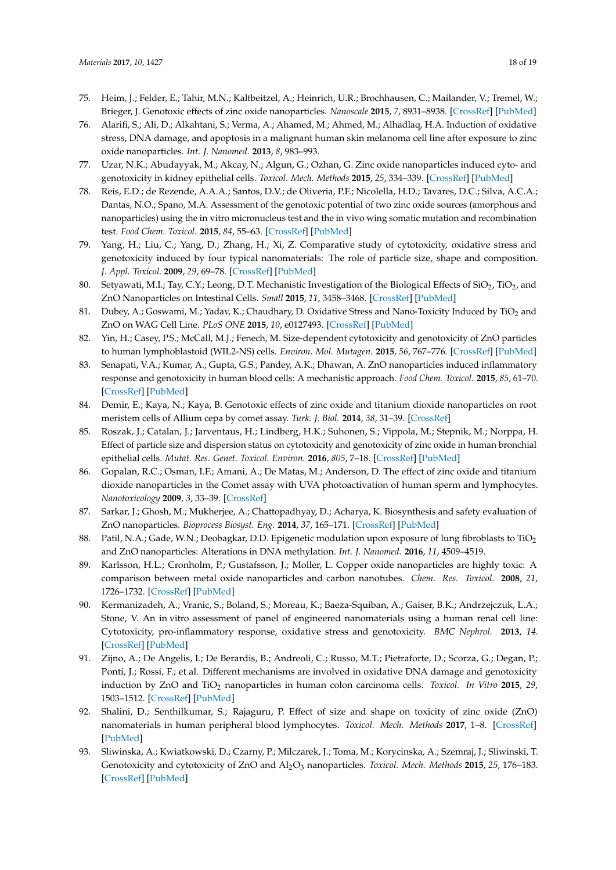- <span id="page-17-8"></span><span id="page-17-7"></span><span id="page-17-6"></span><span id="page-17-5"></span><span id="page-17-4"></span><span id="page-17-3"></span><span id="page-17-2"></span><span id="page-17-1"></span><span id="page-17-0"></span>75. Heim, J.; Felder, E.; Tahir, M.N.; Kaltbeitzel, A.; Heinrich, U.R.; Brochhausen, C.; Mailander, V.; Tremel, W.; Brieger, J. Genotoxic effects of zinc oxide nanoparticles. *Nanoscale* **2015**, *7*, 8931–8938. [\[CrossRef\]](http://dx.doi.org/10.1039/C5NR01167A) [\[PubMed\]](http://www.ncbi.nlm.nih.gov/pubmed/25916659)
- <span id="page-17-9"></span>76. Alarifi, S.; Ali, D.; Alkahtani, S.; Verma, A.; Ahamed, M.; Ahmed, M.; Alhadlaq, H.A. Induction of oxidative stress, DNA damage, and apoptosis in a malignant human skin melanoma cell line after exposure to zinc oxide nanoparticles. *Int. J. Nanomed.* **2013**, *8*, 983–993.
- <span id="page-17-10"></span>77. Uzar, N.K.; Abudayyak, M.; Akcay, N.; Algun, G.; Ozhan, G. Zinc oxide nanoparticles induced cyto- and genotoxicity in kidney epithelial cells. *Toxicol. Mech. Methods* **2015**, *25*, 334–339. [\[CrossRef\]](http://dx.doi.org/10.3109/15376516.2015.1045654) [\[PubMed\]](http://www.ncbi.nlm.nih.gov/pubmed/25980654)
- <span id="page-17-11"></span>78. Reis, E.D.; de Rezende, A.A.A.; Santos, D.V.; de Oliveria, P.F.; Nicolella, H.D.; Tavares, D.C.; Silva, A.C.A.; Dantas, N.O.; Spano, M.A. Assessment of the genotoxic potential of two zinc oxide sources (amorphous and nanoparticles) using the in vitro micronucleus test and the in vivo wing somatic mutation and recombination test. *Food Chem. Toxicol.* **2015**, *84*, 55–63. [\[CrossRef\]](http://dx.doi.org/10.1016/j.fct.2015.07.008) [\[PubMed\]](http://www.ncbi.nlm.nih.gov/pubmed/26190540)
- <span id="page-17-12"></span>79. Yang, H.; Liu, C.; Yang, D.; Zhang, H.; Xi, Z. Comparative study of cytotoxicity, oxidative stress and genotoxicity induced by four typical nanomaterials: The role of particle size, shape and composition. *J. Appl. Toxicol.* **2009**, *29*, 69–78. [\[CrossRef\]](http://dx.doi.org/10.1002/jat.1385) [\[PubMed\]](http://www.ncbi.nlm.nih.gov/pubmed/18756589)
- <span id="page-17-13"></span>80. Setyawati, M.I.; Tay, C.Y.; Leong, D.T. Mechanistic Investigation of the Biological Effects of SiO<sub>2</sub>, TiO<sub>2</sub>, and ZnO Nanoparticles on Intestinal Cells. *Small* **2015**, *11*, 3458–3468. [\[CrossRef\]](http://dx.doi.org/10.1002/smll.201403232) [\[PubMed\]](http://www.ncbi.nlm.nih.gov/pubmed/25902938)
- <span id="page-17-14"></span>81. Dubey, A.; Goswami, M.; Yadav, K.; Chaudhary, D. Oxidative Stress and Nano-Toxicity Induced by TiO<sub>2</sub> and ZnO on WAG Cell Line. *PLoS ONE* **2015**, *10*, e0127493. [\[CrossRef\]](http://dx.doi.org/10.1371/journal.pone.0127493) [\[PubMed\]](http://www.ncbi.nlm.nih.gov/pubmed/26011447)
- <span id="page-17-15"></span>82. Yin, H.; Casey, P.S.; McCall, M.J.; Fenech, M. Size-dependent cytotoxicity and genotoxicity of ZnO particles to human lymphoblastoid (WIL2-NS) cells. *Environ. Mol. Mutagen.* **2015**, *56*, 767–776. [\[CrossRef\]](http://dx.doi.org/10.1002/em.21962) [\[PubMed\]](http://www.ncbi.nlm.nih.gov/pubmed/26248212)
- 83. Senapati, V.A.; Kumar, A.; Gupta, G.S.; Pandey, A.K.; Dhawan, A. ZnO nanoparticles induced inflammatory response and genotoxicity in human blood cells: A mechanistic approach. *Food Chem. Toxicol.* **2015**, *85*, 61–70. [\[CrossRef\]](http://dx.doi.org/10.1016/j.fct.2015.06.018) [\[PubMed\]](http://www.ncbi.nlm.nih.gov/pubmed/26146191)
- <span id="page-17-16"></span>84. Demir, E.; Kaya, N.; Kaya, B. Genotoxic effects of zinc oxide and titanium dioxide nanoparticles on root meristem cells of Allium cepa by comet assay. *Turk. J. Biol.* **2014**, *38*, 31–39. [\[CrossRef\]](http://dx.doi.org/10.3906/biy-1306-11)
- 85. Roszak, J.; Catalan, J.; Jarventaus, H.; Lindberg, H.K.; Suhonen, S.; Vippola, M.; Stepnik, M.; Norppa, H. Effect of particle size and dispersion status on cytotoxicity and genotoxicity of zinc oxide in human bronchial epithelial cells. *Mutat. Res. Genet. Toxicol. Environ.* **2016**, *805*, 7–18. [\[CrossRef\]](http://dx.doi.org/10.1016/j.mrgentox.2016.05.008) [\[PubMed\]](http://www.ncbi.nlm.nih.gov/pubmed/27402478)
- <span id="page-17-17"></span>86. Gopalan, R.C.; Osman, I.F.; Amani, A.; De Matas, M.; Anderson, D. The effect of zinc oxide and titanium dioxide nanoparticles in the Comet assay with UVA photoactivation of human sperm and lymphocytes. *Nanotoxicology* **2009**, *3*, 33–39. [\[CrossRef\]](http://dx.doi.org/10.1080/17435390802596456)
- <span id="page-17-18"></span>87. Sarkar, J.; Ghosh, M.; Mukherjee, A.; Chattopadhyay, D.; Acharya, K. Biosynthesis and safety evaluation of ZnO nanoparticles. *Bioprocess Biosyst. Eng.* **2014**, *37*, 165–171. [\[CrossRef\]](http://dx.doi.org/10.1007/s00449-013-0982-7) [\[PubMed\]](http://www.ncbi.nlm.nih.gov/pubmed/23743731)
- 88. Patil, N.A.; Gade, W.N.; Deobagkar, D.D. Epigenetic modulation upon exposure of lung fibroblasts to TiO<sub>2</sub> and ZnO nanoparticles: Alterations in DNA methylation. *Int. J. Nanomed.* **2016**, *11*, 4509–4519.
- 89. Karlsson, H.L.; Cronholm, P.; Gustafsson, J.; Moller, L. Copper oxide nanoparticles are highly toxic: A comparison between metal oxide nanoparticles and carbon nanotubes. *Chem. Res. Toxicol.* **2008**, *21*, 1726–1732. [\[CrossRef\]](http://dx.doi.org/10.1021/tx800064j) [\[PubMed\]](http://www.ncbi.nlm.nih.gov/pubmed/18710264)
- 90. Kermanizadeh, A.; Vranic, S.; Boland, S.; Moreau, K.; Baeza-Squiban, A.; Gaiser, B.K.; Andrzejczuk, L.A.; Stone, V. An in vitro assessment of panel of engineered nanomaterials using a human renal cell line: Cytotoxicity, pro-inflammatory response, oxidative stress and genotoxicity. *BMC Nephrol.* **2013**, *14*. [\[CrossRef\]](http://dx.doi.org/10.1186/1471-2369-14-96) [\[PubMed\]](http://www.ncbi.nlm.nih.gov/pubmed/23617532)
- 91. Zijno, A.; De Angelis, I.; De Berardis, B.; Andreoli, C.; Russo, M.T.; Pietraforte, D.; Scorza, G.; Degan, P.; Ponti, J.; Rossi, F.; et al. Different mechanisms are involved in oxidative DNA damage and genotoxicity induction by ZnO and TiO<sub>2</sub> nanoparticles in human colon carcinoma cells. *Toxicol. In Vitro* 2015, 29, 1503–1512. [\[CrossRef\]](http://dx.doi.org/10.1016/j.tiv.2015.06.009) [\[PubMed\]](http://www.ncbi.nlm.nih.gov/pubmed/26079941)
- 92. Shalini, D.; Senthilkumar, S.; Rajaguru, P. Effect of size and shape on toxicity of zinc oxide (ZnO) nanomaterials in human peripheral blood lymphocytes. *Toxicol. Mech. Methods* **2017**, 1–8. [\[CrossRef\]](http://dx.doi.org/10.1080/15376516.2017.1366609) [\[PubMed\]](http://www.ncbi.nlm.nih.gov/pubmed/28805101)
- 93. Sliwinska, A.; Kwiatkowski, D.; Czarny, P.; Milczarek, J.; Toma, M.; Korycinska, A.; Szemraj, J.; Sliwinski, T. Genotoxicity and cytotoxicity of ZnO and Al2O<sup>3</sup> nanoparticles. *Toxicol. Mech. Methods* **2015**, *25*, 176–183. [\[CrossRef\]](http://dx.doi.org/10.3109/15376516.2015.1006509) [\[PubMed\]](http://www.ncbi.nlm.nih.gov/pubmed/25578534)